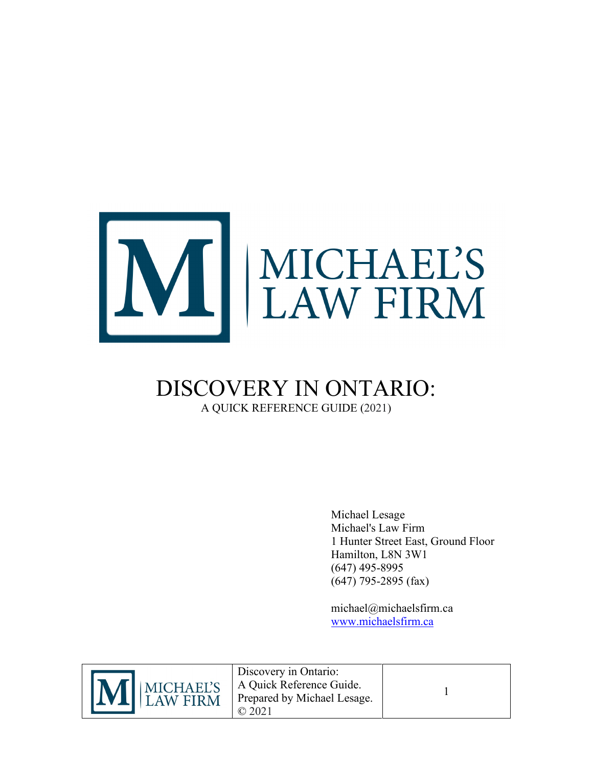

### DISCOVERY IN ONTARIO: A QUICK REFERENCE GUIDE (2021)

Michael Lesage Michael's Law Firm 1 Hunter Street East, Ground Floor Hamilton, L8N 3W1 (647) 495-8995 (647) 795-2895 (fax)

michael@michaelsfirm.ca [www.michaelsfirm.ca](http://www.michaelsfirm.ca/)



Discovery in Ontario: A Quick Reference Guide. Prepared by Michael Lesage. © 2021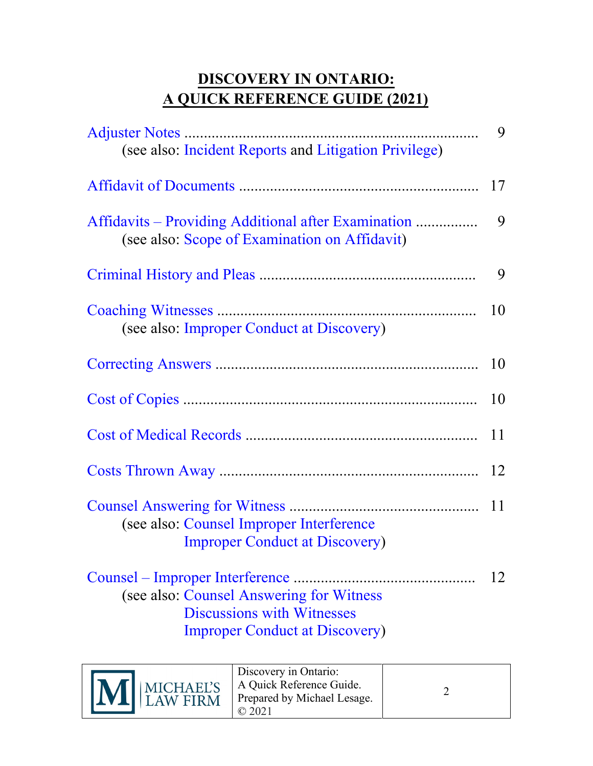### **DISCOVERY IN ONTARIO: A QUICK REFERENCE GUIDE (2021)**

|                                                                                                                         | 9  |
|-------------------------------------------------------------------------------------------------------------------------|----|
| (see also: Incident Reports and Litigation Privilege)                                                                   |    |
|                                                                                                                         | 17 |
| Affidavits – Providing Additional after Examination<br>(see also: Scope of Examination on Affidavit)                    | 9  |
|                                                                                                                         | 9  |
| (see also: Improper Conduct at Discovery)                                                                               | 10 |
|                                                                                                                         | 10 |
|                                                                                                                         | 10 |
|                                                                                                                         | 11 |
|                                                                                                                         | 12 |
| (see also: Counsel Improper Interference<br><b>Improper Conduct at Discovery)</b>                                       |    |
| (see also: Counsel Answering for Witness<br><b>Discussions with Witnesses</b><br><b>Improper Conduct at Discovery</b> ) | 12 |

| M MICHAEL'S | Discovery in Ontario:<br>A Quick Reference Guide.<br>Prepared by Michael Lesage. |  |
|-------------|----------------------------------------------------------------------------------|--|
|-------------|----------------------------------------------------------------------------------|--|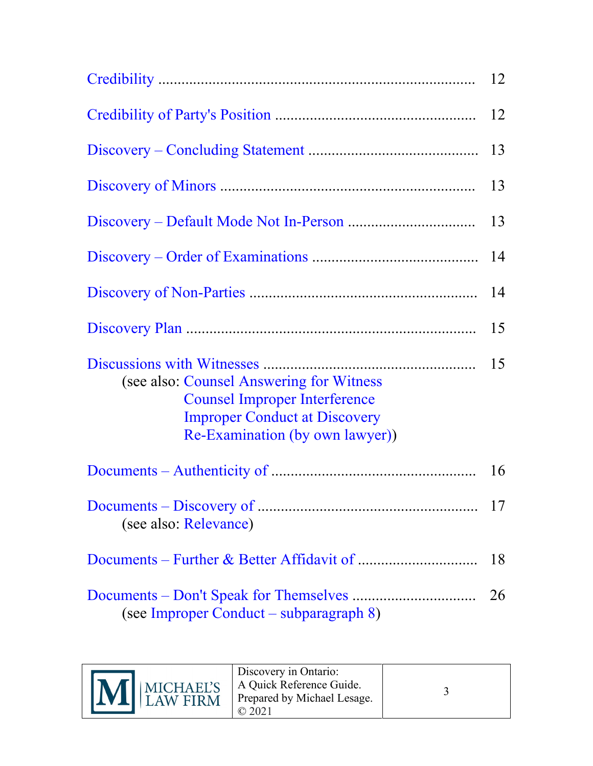|                                                                                                                                                             | 12 |
|-------------------------------------------------------------------------------------------------------------------------------------------------------------|----|
|                                                                                                                                                             | 12 |
|                                                                                                                                                             | 13 |
|                                                                                                                                                             | 13 |
|                                                                                                                                                             | 13 |
|                                                                                                                                                             | 14 |
|                                                                                                                                                             | 14 |
|                                                                                                                                                             | 15 |
| (see also: Counsel Answering for Witness<br><b>Counsel Improper Interference</b><br><b>Improper Conduct at Discovery</b><br>Re-Examination (by own lawyer)) | 15 |
|                                                                                                                                                             | 16 |
| (see also: Relevance)                                                                                                                                       | 17 |
|                                                                                                                                                             | 18 |
| (see Improper Conduct – subparagraph 8)                                                                                                                     | 26 |

| M MICHAEL'S | Discovery in Ontario:<br>A Quick Reference Guide.<br>Prepared by Michael Lesage. |  |
|-------------|----------------------------------------------------------------------------------|--|
|-------------|----------------------------------------------------------------------------------|--|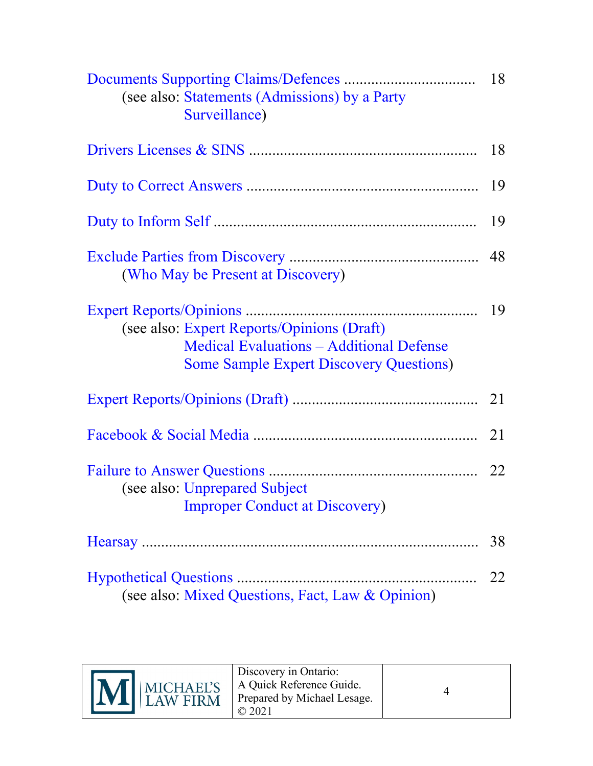| (see also: Statements (Admissions) by a Party<br>Surveillance)                                                                                  | 18 |
|-------------------------------------------------------------------------------------------------------------------------------------------------|----|
|                                                                                                                                                 |    |
|                                                                                                                                                 |    |
|                                                                                                                                                 | 19 |
| (Who May be Present at Discovery)                                                                                                               | 48 |
| (see also: Expert Reports/Opinions (Draft)<br><b>Medical Evaluations - Additional Defense</b><br><b>Some Sample Expert Discovery Questions)</b> | 19 |
|                                                                                                                                                 |    |
|                                                                                                                                                 |    |
| (see also: Unprepared Subject<br><b>Improper Conduct at Discovery)</b>                                                                          |    |
|                                                                                                                                                 | 38 |
| (see also: Mixed Questions, Fact, Law & Opinion)                                                                                                | 22 |

| M MICHAEL'S | Discovery in Ontario:<br>A Quick Reference Guide.<br>Prepared by Michael Lesage. |  |
|-------------|----------------------------------------------------------------------------------|--|
|-------------|----------------------------------------------------------------------------------|--|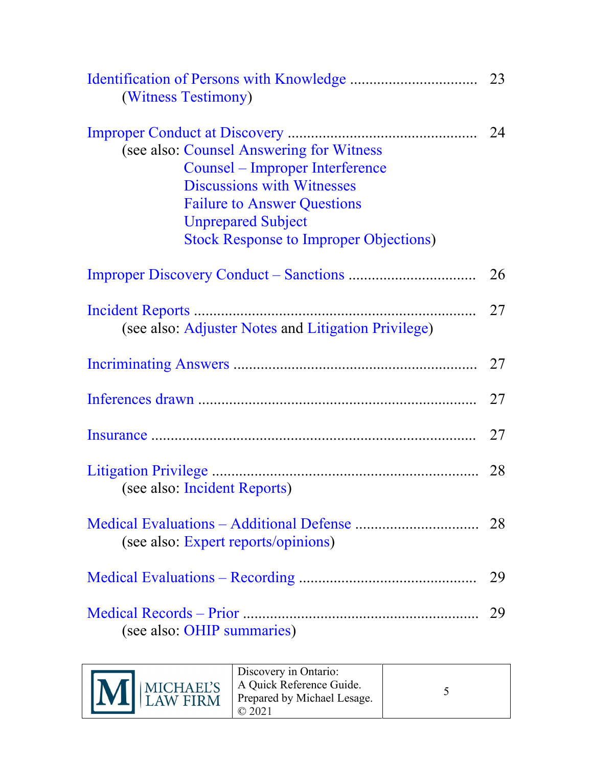| (Witness Testimony)                                                                                                                                                                                                                  |    |
|--------------------------------------------------------------------------------------------------------------------------------------------------------------------------------------------------------------------------------------|----|
| (see also: Counsel Answering for Witness<br>Counsel – Improper Interference<br><b>Discussions with Witnesses</b><br><b>Failure to Answer Questions</b><br><b>Unprepared Subject</b><br><b>Stock Response to Improper Objections)</b> |    |
|                                                                                                                                                                                                                                      | 26 |
| (see also: Adjuster Notes and Litigation Privilege)                                                                                                                                                                                  | 27 |
|                                                                                                                                                                                                                                      | 27 |
|                                                                                                                                                                                                                                      | 27 |
|                                                                                                                                                                                                                                      |    |
| (see also: Incident Reports)                                                                                                                                                                                                         |    |
| (see also: Expert reports/opinions)                                                                                                                                                                                                  |    |
|                                                                                                                                                                                                                                      | 29 |
| (see also: OHIP summaries)                                                                                                                                                                                                           | 29 |

| MINICHAEL'S | Discovery in Ontario:<br>A Quick Reference Guide.<br>Prepared by Michael Lesage. |  |
|-------------|----------------------------------------------------------------------------------|--|
|-------------|----------------------------------------------------------------------------------|--|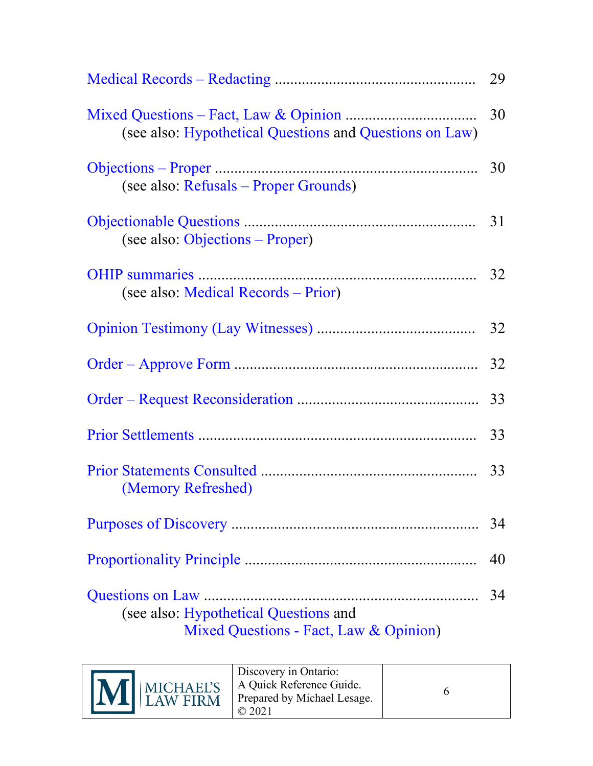| (see also: Hypothetical Questions and Questions on Law)                         |    |
|---------------------------------------------------------------------------------|----|
| (see also: Refusals – Proper Grounds)                                           |    |
| (see also: Objections – Proper)                                                 |    |
| (see also: Medical Records – Prior)                                             |    |
|                                                                                 |    |
|                                                                                 |    |
|                                                                                 |    |
|                                                                                 |    |
| (Memory Refreshed)                                                              |    |
|                                                                                 | 34 |
|                                                                                 | 40 |
| (see also: Hypothetical Questions and<br>Mixed Questions - Fact, Law & Opinion) | 34 |

| M MICHAEL'S | Discovery in Ontario:<br>A Quick Reference Guide.<br>Prepared by Michael Lesage. |  |
|-------------|----------------------------------------------------------------------------------|--|
|-------------|----------------------------------------------------------------------------------|--|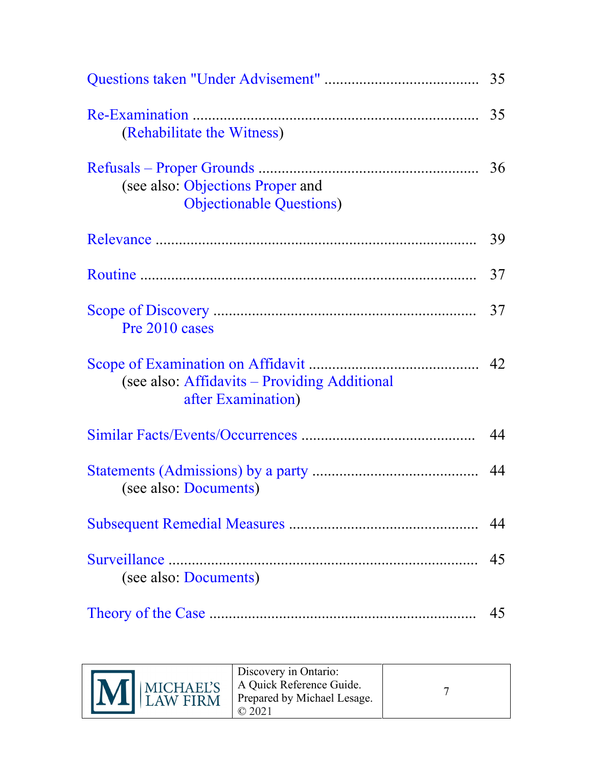| (Rehabilitate the Witness)                                           |    |
|----------------------------------------------------------------------|----|
| (see also: Objections Proper and<br><b>Objectionable Questions</b> ) |    |
|                                                                      | 39 |
|                                                                      | 37 |
| Pre 2010 cases                                                       | 37 |
| (see also: Affidavits – Providing Additional<br>after Examination)   |    |
|                                                                      | 44 |
| (see also: Documents)                                                | 44 |
|                                                                      | 44 |
| (see also: Documents)                                                | 45 |
|                                                                      | 45 |

| M MICHAEL'S | Discovery in Ontario:<br>A Quick Reference Guide.<br>Prepared by Michael Lesage. |  |
|-------------|----------------------------------------------------------------------------------|--|
|-------------|----------------------------------------------------------------------------------|--|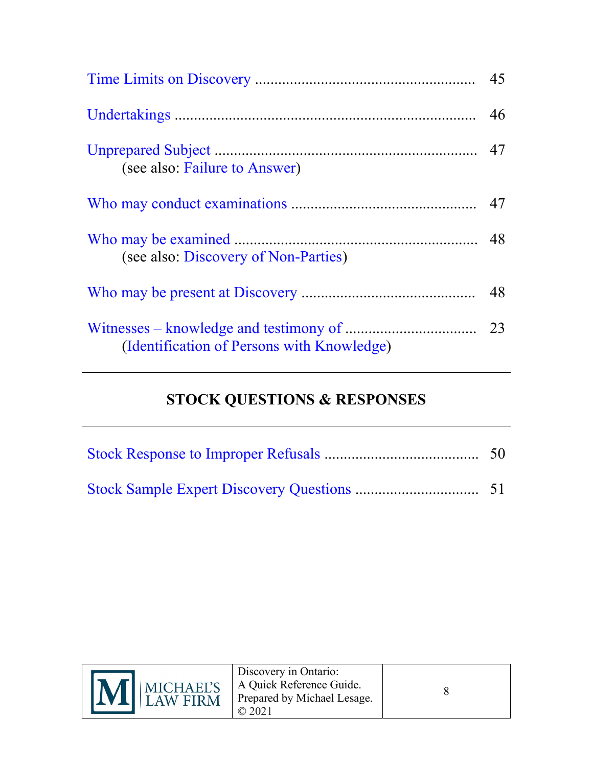| (see also: Failure to Answer)              |  |
|--------------------------------------------|--|
|                                            |  |
| (see also: Discovery of Non-Parties)       |  |
|                                            |  |
| (Identification of Persons with Knowledge) |  |

## **STOCK QUESTIONS & RESPONSES**

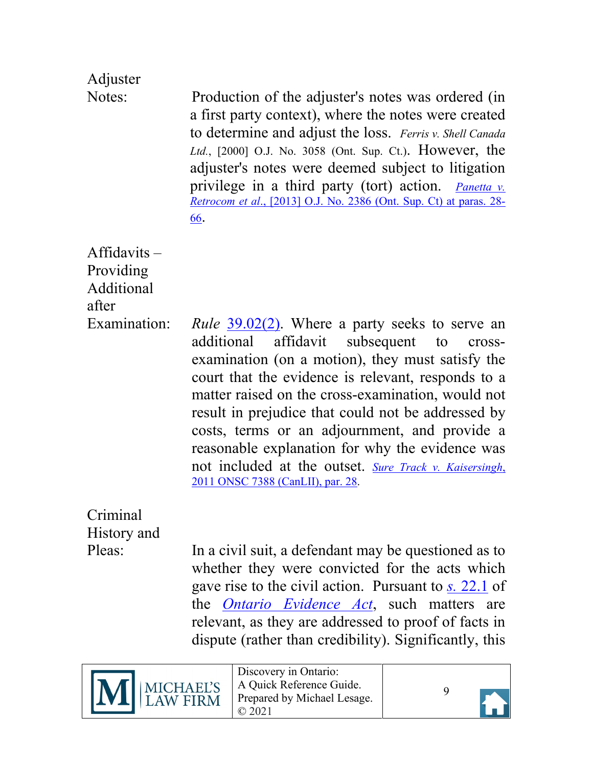# <span id="page-8-0"></span>Adjuster

Notes: Production of the adjuster's notes was ordered (in a first party context), where the notes were created to determine and adjust the loss. *Ferris v. Shell Canada Ltd.*, [2000] O.J. No. 3058 (Ont. Sup. Ct.). However, the adjuster's notes were deemed subject to litigation privilege in a third party (tort) action. *[Panetta v.](https://canlii.ca/t/fx8jp) Retrocom et al*[., \[2013\] O.J. No. 2386 \(Ont. Sup. Ct\) at paras. 28-](https://canlii.ca/t/fx8jp) [66.](https://canlii.ca/t/fx8jp)

<span id="page-8-1"></span>Affidavits – Providing Additional after

Examination: *Rule* [39.02\(2\).](https://canlii.ca/t/t8m#sec40.01) Where a party seeks to serve an additional affidavit subsequent to crossexamination (on a motion), they must satisfy the court that the evidence is relevant, responds to a matter raised on the cross-examination, would not result in prejudice that could not be addressed by costs, terms or an adjournment, and provide a reasonable explanation for why the evidence was not included at the outset. *[Sure Track v. Kaisersingh](https://canlii.ca/t/fpfhd#par28)*, [2011 ONSC 7388 \(CanLII\), par. 28.](https://canlii.ca/t/fpfhd#par28)

<span id="page-8-2"></span>Criminal History and

Pleas: In a civil suit, a defendant may be questioned as to whether they were convicted for the acts which gave rise to the civil action. Pursuant to *s.* [22.1](https://canlii.ca/t/2c4#sec22.1) of the *[Ontario Evidence Act](https://canlii.ca/t/555m2)*, such matters are relevant, as they are addressed to proof of facts in dispute (rather than credibility). Significantly, this



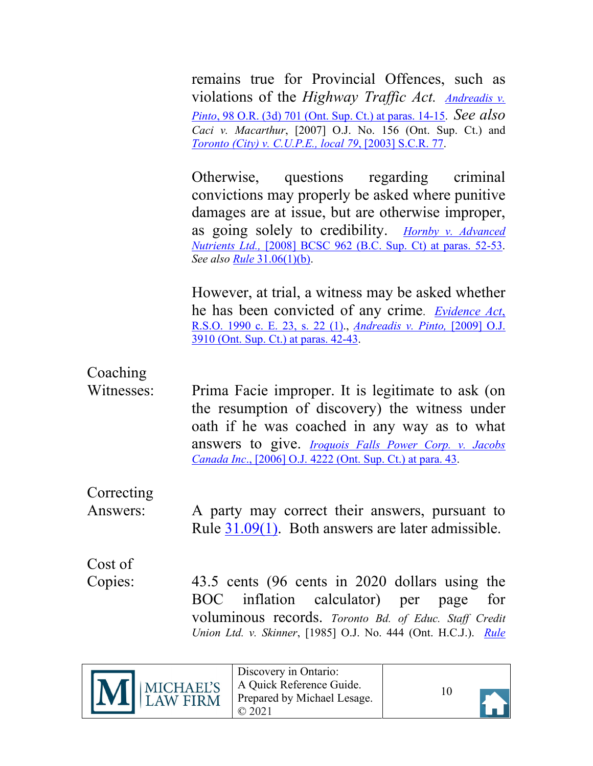remains true for Provincial Offences, such as violations of the *Highway Traffic Act. [Andreadis v.](https://canlii.ca/t/25qv5#par14) Pinto*[, 98 O.R. \(3d\) 701 \(Ont. Sup. Ct.\) at paras. 14-15.](https://canlii.ca/t/25qv5#par14) *See also Caci v. Macarthur*, [2007] O.J. No. 156 (Ont. Sup. Ct.) and *[Toronto \(City\) v. C.U.P.E., local 79](https://canlii.ca/t/dlx)*, [2003] S.C.R. 77.

Otherwise, questions regarding criminal convictions may properly be asked where punitive damages are at issue, but are otherwise improper, as going solely to credibility. *[Hornby v. Advanced](https://canlii.ca/t/1zp17#par53) Nutrients Ltd.,* [\[2008\] BCSC 962 \(B.C. Sup. Ct\)](https://canlii.ca/t/1zp17#par53) at paras. 52-53. *See also Rule* [31.06\(1\)\(b\).](https://canlii.ca/t/t8m#sec31.05)

However, at trial, a witness may be asked whether he has been convicted of any crime. *[Evidence Act](https://canlii.ca/t/2c4#sec22)*, [R.S.O. 1990 c. E.](https://canlii.ca/t/2c4#sec22) 23, s. 22 (1)., *[Andreadis v. Pinto,](https://canlii.ca/t/25qv5#par42)* [2009] O.J. [3910 \(Ont. Sup. Ct.\) at paras. 42-43.](https://canlii.ca/t/25qv5#par42)

## <span id="page-9-0"></span>Coaching

Witnesses: Prima Facie improper. It is legitimate to ask (on the resumption of discovery) the witness under oath if he was coached in any way as to what answers to give. *[Iroquois Falls Power Corp. v. Jacobs](https://canlii.ca/t/1ptvd#par43) Canada Inc*[., \[2006\] O.J. 4222 \(Ont. Sup. Ct.\) at para. 43.](https://canlii.ca/t/1ptvd#par43)

### <span id="page-9-1"></span>**Correcting**

Answers: A party may correct their answers, pursuant to Rule [31.09\(1\).](https://canlii.ca/t/t8m#sec31.08) Both answers are later admissible.

<span id="page-9-2"></span>Cost of

Copies: 43.5 cents (96 cents in 2020 dollars using the BOC inflation calculator) per page for voluminous records. *Toronto Bd. of Educ. Staff Credit Union Ltd. v. Skinner*, [1985] O.J. No. 444 (Ont. H.C.J.). *[Rule](https://canlii.ca/t/t8m#sec30.05)*

|  | M MICHAEL'S | Discovery in Ontario:<br>A Quick Reference Guide.<br>Prepared by Michael Lesage. |
|--|-------------|----------------------------------------------------------------------------------|
|--|-------------|----------------------------------------------------------------------------------|

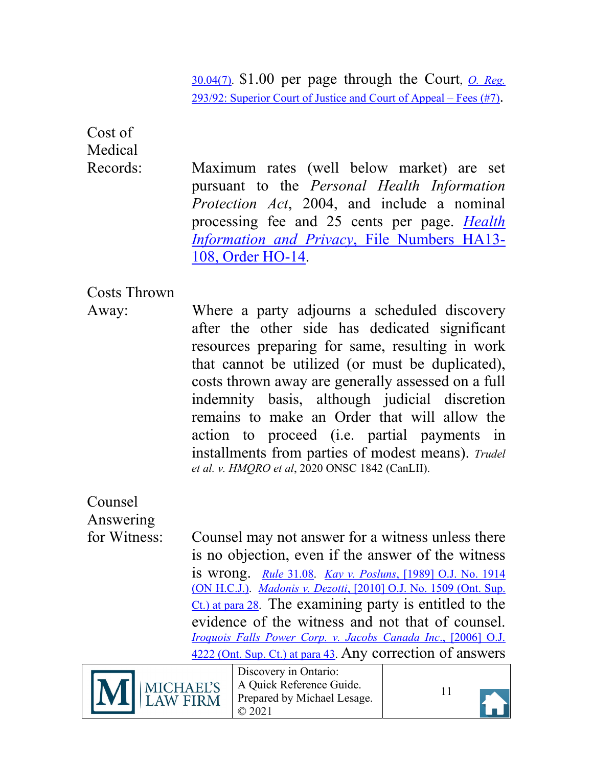[30.04\(7\).](https://canlii.ca/t/t8m#sec30.05) \$1.00 per page through the Court, *[O. Reg.](https://canlii.ca/t/rws)* [293/92: Superior Court of Justice and Court of Appeal – Fees \(#7\).](https://canlii.ca/t/rws)

<span id="page-10-0"></span>Cost of Medical

Records: Maximum rates (well below market) are set pursuant to the *Personal Health Information Protection Act*, 2004, and include a nominal processing fee and 25 cents per page. *[Health](https://decisions.ipc.on.ca/ipc-cipvp/phipa/en/item/134659/index.do?q=ha13-108)  [Information and Privacy](https://decisions.ipc.on.ca/ipc-cipvp/phipa/en/item/134659/index.do?q=ha13-108)*, File Numbers HA13- [108, Order HO-14.](https://decisions.ipc.on.ca/ipc-cipvp/phipa/en/item/134659/index.do?q=ha13-108)

### <span id="page-10-1"></span>Costs Thrown

Away: Where a party adjourns a scheduled discovery after the other side has dedicated significant resources preparing for same, resulting in work that cannot be utilized (or must be duplicated), costs thrown away are generally assessed on a full indemnity basis, although judicial discretion remains to make an Order that will allow the action to proceed (i.e. partial payments in installments from parties of modest means). *Trudel et al. v. HMQRO et al*, 2020 ONSC 1842 (CanLII).

<span id="page-10-2"></span>Counsel

Answering

for Witness: Counsel may not answer for a witness unless there is no objection, even if the answer of the witness is wrong. *Rule* [31.08.](https://canlii.ca/t/t8m#sec31.08) *Kay v. Posluns*[, \[1989\] O.J. No. 1914](https://canlii.ca/t/g171f) [\(ON H.C.J.\).](https://canlii.ca/t/g171f) *Madonis v. Dezotti*[, \[2010\] O.J. No. 1509 \(Ont. Sup.](https://canlii.ca/t/299cs#par28)   $C<sub>t</sub>$ ) at para 28. The examining party is entitled to the evidence of the witness and not that of counsel. *[Iroquois Falls Power Corp.](https://canlii.ca/t/1ptvd#par43) v. Jacobs Canada Inc*., [2006] O.J. [4222 \(Ont. Sup. Ct.\) at para 43.](https://canlii.ca/t/1ptvd#par43) Any correction of answers



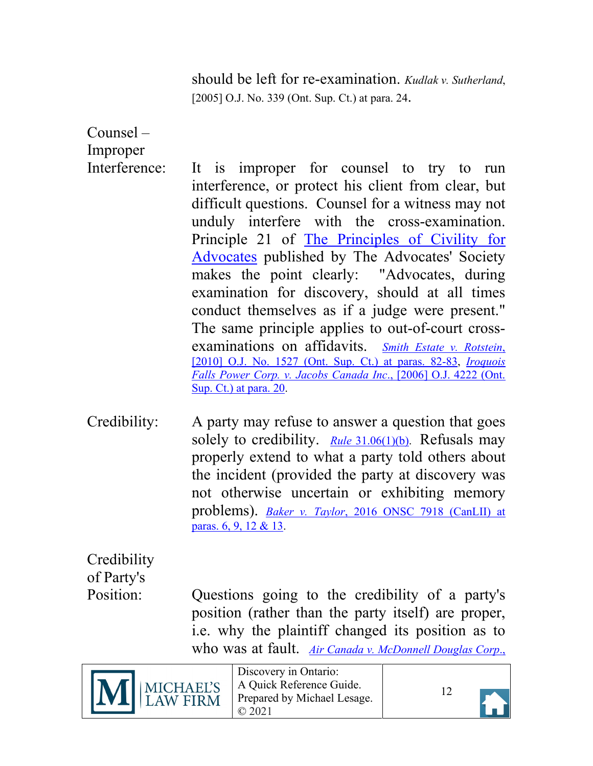should be left for re-examination. *Kudlak v. Sutherland*, [2005] O.J. No. 339 (Ont. Sup. Ct.) at para. 24.

<span id="page-11-0"></span>Counsel – Improper

- Interference: It is improper for counsel to try to run interference, or protect his client from clear, but difficult questions. Counsel for a witness may not unduly interfere with the cross-examination. Principle 21 of [The Principles of Civility for](https://www.advocates.ca/Upload/Files/PDF/Advocacy/InstituteforCivilityandProfessionalism/Principles_of_Civility_and_Professionalism_for_AdvocatesFeb28.pdf)  [Advocates](https://www.advocates.ca/Upload/Files/PDF/Advocacy/InstituteforCivilityandProfessionalism/Principles_of_Civility_and_Professionalism_for_AdvocatesFeb28.pdf) published by The Advocates' Society makes the point clearly: "Advocates, during examination for discovery, should at all times conduct themselves as if a judge were present." The same principle applies to out-of-court crossexaminations on affidavits. *[Smith Estate v. Rotstein](https://canlii.ca/t/299rh#par82)*, [\[2010\] O.J. No. 1527 \(Ont. Sup. Ct.\) at paras. 82-83,](https://canlii.ca/t/299rh#par82) *[Iroquois](https://canlii.ca/t/1ptvd#par20)  [Falls Power Corp. v. Jacobs Canada Inc](https://canlii.ca/t/1ptvd#par20)*., [2006] O.J. 4222 (Ont. [Sup. Ct.\) at para. 20.](https://canlii.ca/t/1ptvd#par20)
- <span id="page-11-1"></span>Credibility: A party may refuse to answer a question that goes solely to credibility. *Rule* [31.06\(1\)\(b\).](https://canlii.ca/t/t8m#sec31.05) Refusals may properly extend to what a party told others about the incident (provided the party at discovery was not otherwise uncertain or exhibiting memory problems). *Baker v. Taylor*[, 2016 ONSC 7918 \(CanLII\) at](https://canlii.ca/t/gw3kb) [paras. 6, 9, 12 & 13.](https://canlii.ca/t/gw3kb)

<span id="page-11-2"></span>**Credibility** of Party's

Position: Questions going to the credibility of a party's position (rather than the party itself) are proper, i.e. why the plaintiff changed its position as to who was at fault. *[Air Canada v. McDonnell Douglas Corp](https://canlii.ca/t/1vtnz)*.,



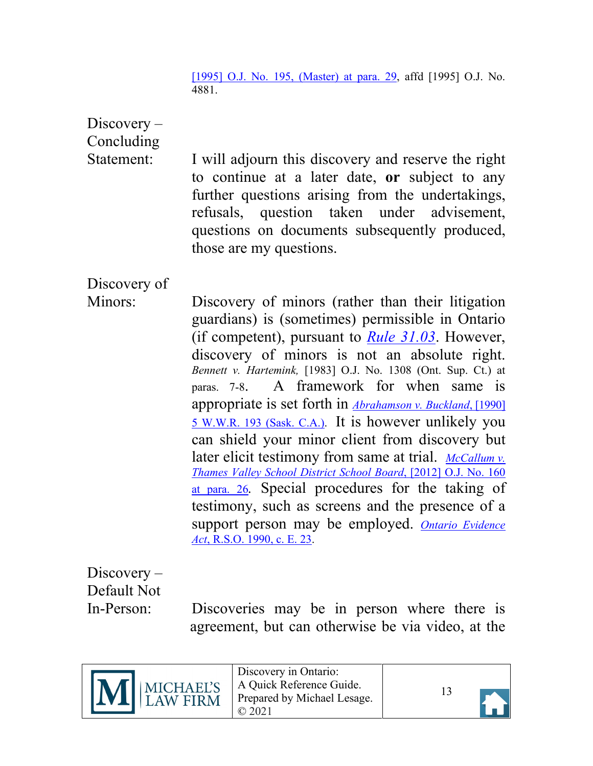[\[1995\] O.J. No. 195, \(Master\)](https://canlii.ca/t/1vtnz) at para. 29, affd [1995] O.J. No. 4881.

<span id="page-12-0"></span>Discovery – Concluding

Statement: I will adjourn this discovery and reserve the right to continue at a later date, **or** subject to any further questions arising from the undertakings, refusals, question taken under advisement, questions on documents subsequently produced, those are my questions.

<span id="page-12-1"></span>Discovery of

Minors: Discovery of minors (rather than their litigation guardians) is (sometimes) permissible in Ontario (if competent), pursuant to *[Rule 31.03](https://canlii.ca/t/t8m#sec31.02)*. However, discovery of minors is not an absolute right. *Bennett v. Hartemink,* [1983] O.J. No. 1308 (Ont. Sup. Ct.) at paras. 7-8.A framework for when same is appropriate is set forth in *[Abrahamson v. Buckland](https://canlii.ca/t/gb4rw#par29)*, [1990] [5 W.W.R. 193 \(Sask. C.A.\).](https://canlii.ca/t/gb4rw#par29) It is however unlikely you can shield your minor client from discovery but later elicit testimony from same at trial. *[McCallum v.](https://canlii.ca/t/fpnlt#par26) [Thames Valley School District School Board](https://canlii.ca/t/fpnlt#par26)*, [2012] O.J. No. 160 [at para. 26](https://canlii.ca/t/fpnlt#par26)*.* Special procedures for the taking of testimony, such as screens and the presence of a support person may be employed. *[Ontario Evidence](https://canlii.ca/t/555m2) Act*[, R.S.O. 1990, c. E. 23.](https://canlii.ca/t/555m2)

<span id="page-12-2"></span>Discovery – Default Not

In-Person: Discoveries may be in person where there is agreement, but can otherwise be via video, at the



Discovery in Ontario: A Quick Reference Guide. Prepared by Michael Lesage. © 2021

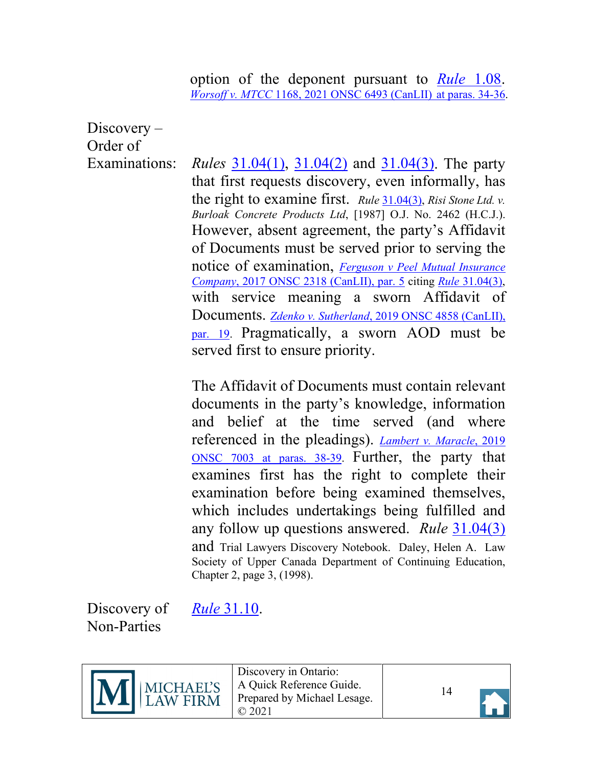option of the deponent pursuant to *[Rule](https://canlii.ca/t/t8m#sec1.05)* 1.08. *Worsoff v. MTCC* [1168, 2021 ONSC 6493 \(CanLII\)](https://canlii.ca/t/jjf53#par34) at paras. 34-36.

<span id="page-13-0"></span>Discovery – Order of

Examinations: *Rules* [31.04\(1\), 31.04\(2\)](https://canlii.ca/t/t8m#sec31.05) and [31.04\(3\).](https://canlii.ca/t/t8m#sec31.05) The party that first requests discovery, even informally, has the right to examine first. *Rule* [31.04\(3\),](https://canlii.ca/t/t8m#sec31.05) *Risi Stone Ltd. v. Burloak Concrete Products Ltd*, [1987] O.J. No. 2462 (H.C.J.). However, absent agreement, the party's Affidavit of Documents must be served prior to serving the notice of examination, *[Ferguson v Peel Mutual Insurance](https://canlii.ca/t/h3lgl#par5) Company*[, 2017 ONSC 2318 \(CanLII\), par. 5](https://canlii.ca/t/h3lgl#par5) citing *Rule* [31.04\(3\),](https://canlii.ca/t/t8m#sec31.05) with service meaning a sworn Affidavit of Documents. *Zdenko v. Sutherland*[, 2019 ONSC 4858 \(CanLII\),](https://canlii.ca/t/j20tp#par19) [par. 19.](https://canlii.ca/t/j20tp#par19) Pragmatically, a sworn AOD must be served first to ensure priority.

> The Affidavit of Documents must contain relevant documents in the party's knowledge, information and belief at the time served (and where referenced in the pleadings). *[Lambert v. Maracle](https://canlii.ca/t/j3r32#par38)*, 2019 [ONSC 7003 at paras. 38-39.](https://canlii.ca/t/j3r32#par38) Further, the party that examines first has the right to complete their examination before being examined themselves, which includes undertakings being fulfilled and any follow up questions answered. *Rule* [31.04\(3\)](https://canlii.ca/t/t8m#sec31.05) and Trial Lawyers Discovery Notebook. Daley, Helen A. Law Society of Upper Canada Department of Continuing Education, Chapter 2, page 3, (1998).

<span id="page-13-1"></span>Discovery of *Rule* [31.10.](https://canlii.ca/t/t8m#sec31.08) Non-Parties



Discovery in Ontario: A Quick Reference Guide. Prepared by Michael Lesage. © 2021

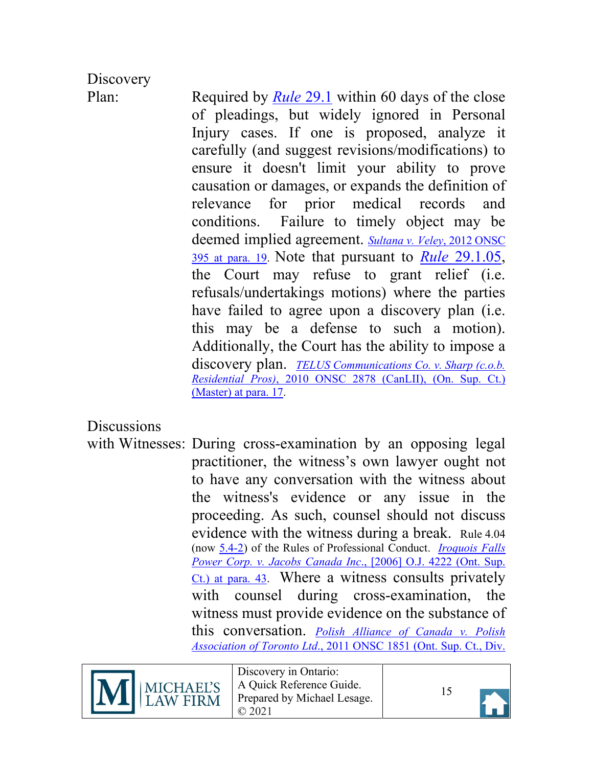# <span id="page-14-1"></span>**Discovery**

Plan: Required by *[Rule](https://canlii.ca/t/t8m#sec29.1.01)* 29.1 within 60 days of the close of pleadings, but widely ignored in Personal Injury cases. If one is proposed, analyze it carefully (and suggest revisions/modifications) to ensure it doesn't limit your ability to prove causation or damages, or expands the definition of relevance for prior medical records and conditions. Failure to timely object may be deemed implied agreement. *[Sultana v. Veley](https://canlii.ca/t/fpn67#par19)*, 2012 ONSC [395 at para. 19.](https://canlii.ca/t/fpn67#par19) Note that pursuant to *Rule* [29.1.05,](https://canlii.ca/t/t8m#sec29.1.05) the Court may refuse to grant relief (i.e. refusals/undertakings motions) where the parties have failed to agree upon a discovery plan (i.e. this may be a defense to such a motion). Additionally, the Court has the ability to impose a discovery plan. *[TELUS Communications Co. v. Sharp \(c.o.b.](https://canlii.ca/t/29tnj#par17) Residential Pros)*[, 2010 ONSC 2878 \(CanLII\),](https://canlii.ca/t/29tnj#par17) (On. Sup. Ct.) [\(Master\) at para. 17.](https://canlii.ca/t/29tnj#par17)

### <span id="page-14-0"></span>**Discussions**

with Witnesses: During cross-examination by an opposing legal practitioner, the witness's own lawyer ought not to have any conversation with the witness about the witness's evidence or any issue in the proceeding. As such, counsel should not discuss evidence with the witness during a break. Rule 4.04 (now [5.4-2\)](https://lso.ca/about-lso/legislation-rules/rules-of-professional-conduct/chapter-5) of the Rules of Professional Conduct. *[Iroquois Falls](https://canlii.ca/t/1ptvd#par43)  [Power Corp. v. Jacobs Canada Inc](https://canlii.ca/t/1ptvd#par43)*., [2006] O.J. 4222 (Ont. Sup. [Ct.\) at para. 43.](https://canlii.ca/t/1ptvd#par43) Where a witness consults privately with counsel during cross-examination, the witness must provide evidence on the substance of this conversation. *[Polish Alliance of Canada v. Polish](https://canlii.ca/t/fm8x1#par43) [Association of Toronto Ltd](https://canlii.ca/t/fm8x1#par43)*., 2011 ONSC 1851 (Ont. Sup. Ct., Div.



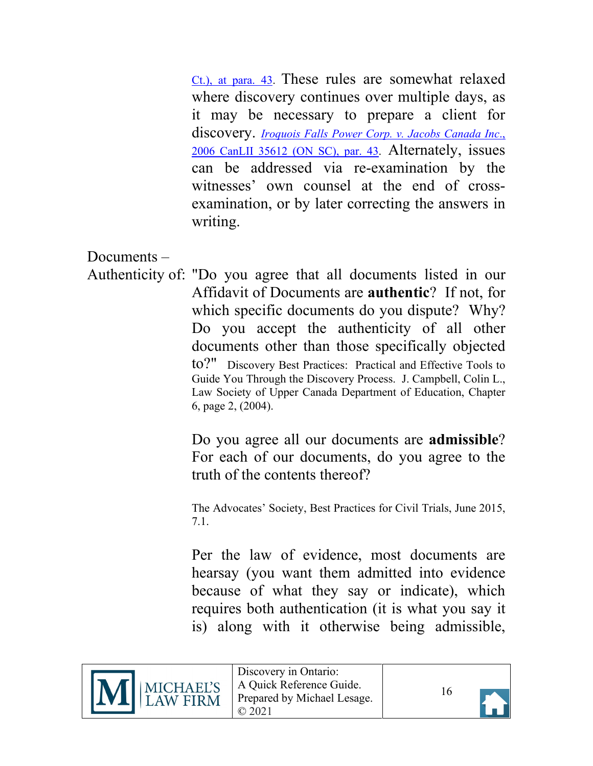[Ct.\), at para. 43.](https://canlii.ca/t/fm8x1#par43) These rules are somewhat relaxed where discovery continues over multiple days, as it may be necessary to prepare a client for discovery. *[Iroquois Falls Power Corp. v.](https://canlii.ca/t/1ptvd#par43) Jacobs Canada Inc*., [2006 CanLII 35612 \(ON SC\), par. 43.](https://canlii.ca/t/1ptvd#par43) Alternately, issues can be addressed via re-examination by the witnesses' own counsel at the end of crossexamination, or by later correcting the answers in writing.

<span id="page-15-0"></span>Documents –

Authenticity of: "Do you agree that all documents listed in our Affidavit of Documents are **authentic**? If not, for which specific documents do you dispute? Why? Do you accept the authenticity of all other documents other than those specifically objected to?" Discovery Best Practices: Practical and Effective Tools to Guide You Through the Discovery Process. J. Campbell, Colin L., Law Society of Upper Canada Department of Education, Chapter 6, page 2, (2004).

> Do you agree all our documents are **admissible**? For each of our documents, do you agree to the truth of the contents thereof?

> The Advocates' Society, Best Practices for Civil Trials, June 2015, 7.1.

> Per the law of evidence, most documents are hearsay (you want them admitted into evidence because of what they say or indicate), which requires both authentication (it is what you say it is) along with it otherwise being admissible,



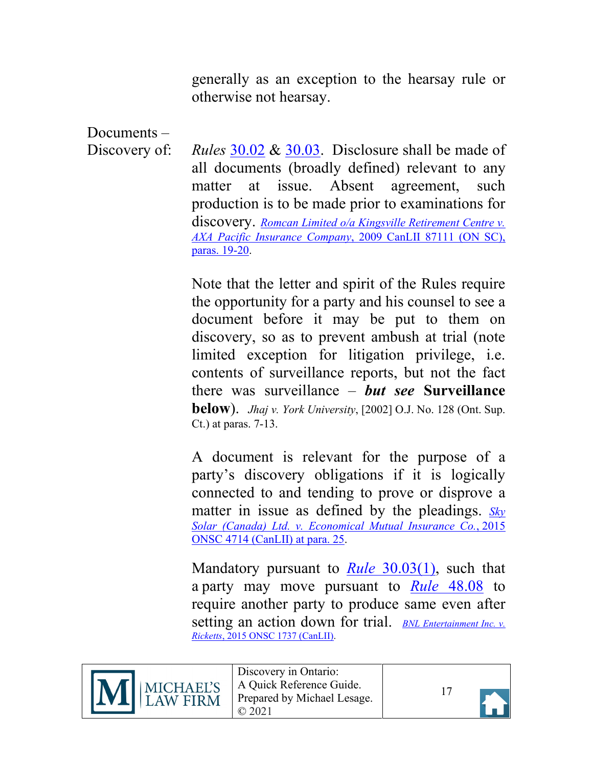generally as an exception to the hearsay rule or otherwise not hearsay.

<span id="page-16-0"></span>Documents –

Discovery of: *Rules* [30.02](https://canlii.ca/t/t8m#sec30.01) & [30.03.](https://canlii.ca/t/t8m#sec30.01) Disclosure shall be made of all documents (broadly defined) relevant to any matter at issue. Absent agreement, such production is to be made prior to examinations for discovery. *[Romcan Limited o/a Kingsville Retirement Centre v.](https://canlii.ca/t/2d7w2#par19) [AXA Pacific Insurance Company](https://canlii.ca/t/2d7w2#par19)*, 2009 CanLII 87111 (ON SC), [paras. 19-20.](https://canlii.ca/t/2d7w2#par19)

> Note that the letter and spirit of the Rules require the opportunity for a party and his counsel to see a document before it may be put to them on discovery, so as to prevent ambush at trial (note limited exception for litigation privilege, i.e. contents of surveillance reports, but not the fact there was surveillance – *but see* **Surveillance below**). *Jhaj v. York University*, [2002] O.J. No. 128 (Ont. Sup. Ct.) at paras. 7-13.

> A document is relevant for the purpose of a party's discovery obligations if it is logically connected to and tending to prove or disprove a matter in issue as defined by the pleadings. *[Sky](https://canlii.ca/t/gkb1n#par25) [Solar \(Canada\) Ltd. v. Economical Mutual Insurance Co.](https://canlii.ca/t/gkb1n#par25)*, 2015 [ONSC 4714 \(CanLII\)](https://canlii.ca/t/gkb1n#par25) at para. 25.

> Mandatory pursuant to *Rule* [30.03\(1\),](https://canlii.ca/t/t8m#sec30.01) such that a party may move pursuant to *Rule* [48.08](https://canlii.ca/t/t8m#sec48.08) to require another party to produce same even after setting an action down for trial. *[BNL Entertainment Inc. v.](https://canlii.ca/t/ggrh4) Ricketts*[, 2015 ONSC 1737 \(CanLII\).](https://canlii.ca/t/ggrh4)





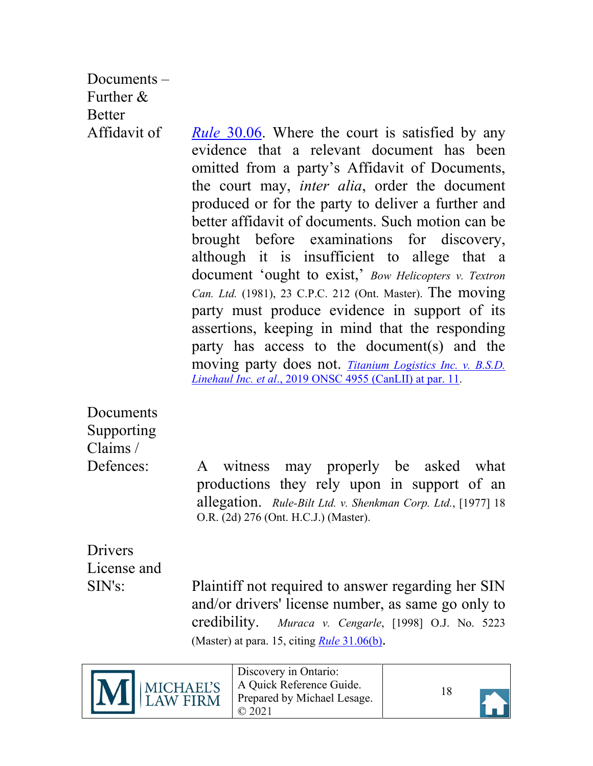<span id="page-17-0"></span>Documents – Further & **Better** 

Affidavit of *Rule* [30.06.](https://canlii.ca/t/t8m#sec30.06) Where the court is satisfied by any evidence that a relevant document has been omitted from a party's Affidavit of Documents, the court may, *inter alia*, order the document produced or for the party to deliver a further and better affidavit of documents. Such motion can be brought before examinations for discovery, although it is insufficient to allege that a document 'ought to exist,' *Bow Helicopters v. Textron Can. Ltd.* (1981), 23 C.P.C. 212 (Ont. Master). The moving party must produce evidence in support of its assertions, keeping in mind that the responding party has access to the document(s) and the moving party does not. *[Titanium Logistics Inc. v. B.S.D.](https://canlii.ca/t/j22r8#par11) Linehaul Inc. et al*[., 2019 ONSC 4955 \(CanLII\) at par. 11.](https://canlii.ca/t/j22r8#par11)

<span id="page-17-1"></span>**Documents** Supporting Claims /

Defences: A witness may properly be asked what productions they rely upon in support of an allegation. *Rule-Bilt Ltd. v. Shenkman Corp. Ltd.*, [1977] 18 O.R. (2d) 276 (Ont. H.C.J.) (Master).

<span id="page-17-2"></span>Drivers License and

SIN's: Plaintiff not required to answer regarding her SIN and/or drivers' license number, as same go only to credibility. *Muraca v. Cengarle*, [1998] O.J. No. 5223 (Master) at para. 15, citing *Rule* [31.06\(b\).](https://canlii.ca/t/t8m#sec31.05)





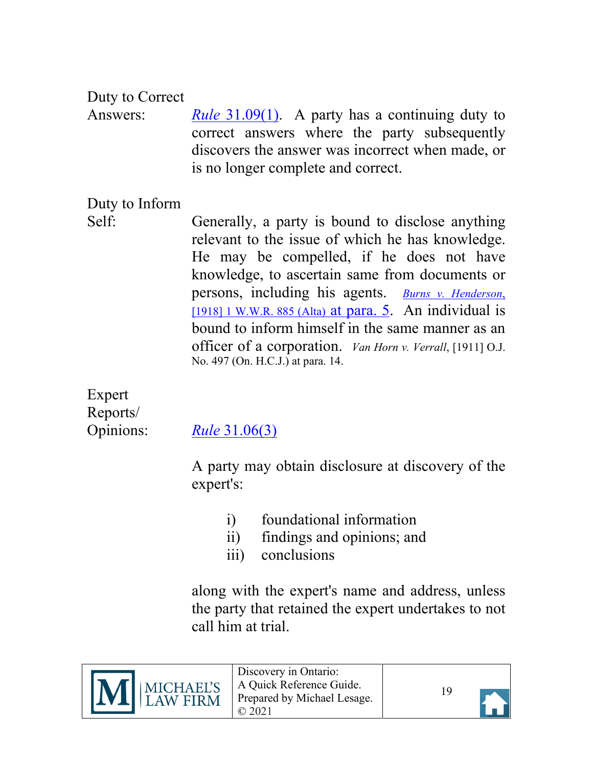### <span id="page-18-0"></span>Duty to Correct

Answers: *Rule* [31.09\(1\).](https://canlii.ca/t/t8m#sec31.08) A party has a continuing duty to correct answers where the party subsequently discovers the answer was incorrect when made, or is no longer complete and correct.

### <span id="page-18-1"></span>Duty to Inform

Self: Generally, a party is bound to disclose anything relevant to the issue of which he has knowledge. He may be compelled, if he does not have knowledge, to ascertain same from documents or persons, including his agents. *[Burns v. Henderson](https://canlii.ca/t/gdjbd)*, [\[1918\] 1 W.W.R. 885 \(Alta\)](https://canlii.ca/t/gdjbd) at para. 5. An individual is bound to inform himself in the same manner as an officer of a corporation. *Van Horn v. Verrall*, [1911] O.J. No. 497 (On. H.C.J.) at para. 14.

<span id="page-18-2"></span>Expert Reports/

Opinions: *Rule* [31.06\(3\)](https://canlii.ca/t/t8m#sec31.05)

A party may obtain disclosure at discovery of the expert's:

- i) foundational information
- ii) findings and opinions; and
- iii) conclusions

along with the expert's name and address, unless the party that retained the expert undertakes to not call him at trial.





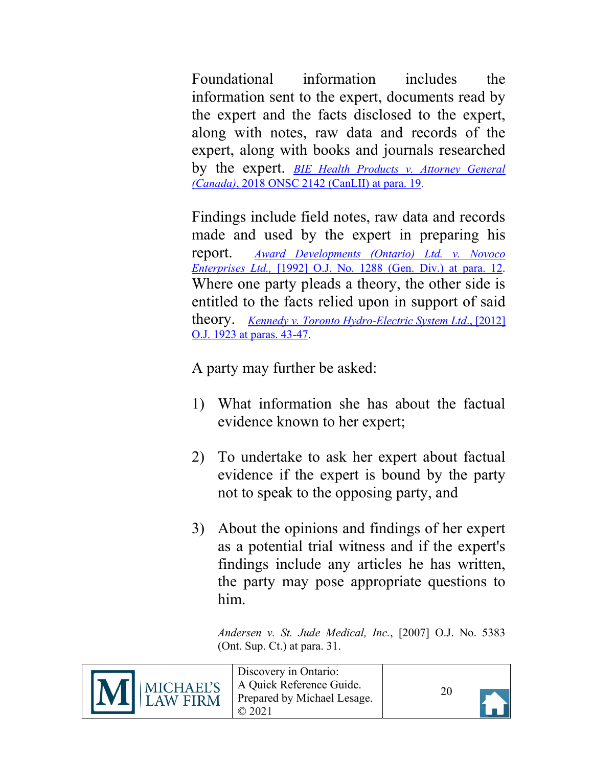Foundational information includes the information sent to the expert, documents read by the expert and the facts disclosed to the expert, along with notes, raw data and records of the expert, along with books and journals researched by the expert. *[BIE Health Products v. Attorney General](https://canlii.ca/t/hrbqx#par19) (Canada)*[, 2018 ONSC 2142 \(CanLII\) at para. 19.](https://canlii.ca/t/hrbqx#par19)

Findings include field notes, raw data and records made and used by the expert in preparing his report. *[Award Developments \(Ontario\) Ltd. v. Novoco](https://canlii.ca/t/g198r) Enterprises Ltd.,* [\[1992\] O.J. No. 1288 \(Gen. Div.\)](https://canlii.ca/t/g198r) at para. 12. Where one party pleads a theory, the other side is entitled to the facts relied upon in support of said theory. *[Kennedy v. Toronto Hydro-Electric System Ltd](https://canlii.ca/t/fr56x#par43)*., [2012] [O.J. 1923 at paras. 43-47.](https://canlii.ca/t/fr56x#par43)

A party may further be asked:

- 1) What information she has about the factual evidence known to her expert;
- 2) To undertake to ask her expert about factual evidence if the expert is bound by the party not to speak to the opposing party, and
- 3) About the opinions and findings of her expert as a potential trial witness and if the expert's findings include any articles he has written, the party may pose appropriate questions to him.

*Andersen v. St. Jude Medical, Inc.*, [2007] O.J. No. 5383 (Ont. Sup. Ct.) at para. 31.



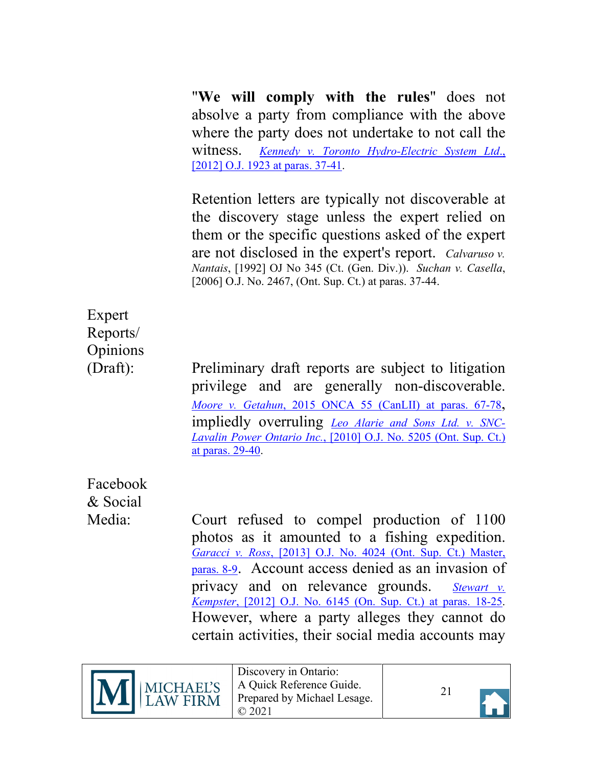"**We will comply with the rules**" does not absolve a party from compliance with the above where the party does not undertake to not call the witness. *[Kennedy v. Toronto Hydro-Electric System Ltd](https://canlii.ca/t/fr56x#par37)*., [\[2012\] O.J. 1923 at paras. 37-41.](https://canlii.ca/t/fr56x#par37)

Retention letters are typically not discoverable at the discovery stage unless the expert relied on them or the specific questions asked of the expert are not disclosed in the expert's report. *Calvaruso v. Nantais*, [1992] OJ No 345 (Ct. (Gen. Div.)). *Suchan v. Casella*, [2006] O.J. No. 2467, (Ont. Sup. Ct.) at paras. 37-44.

## <span id="page-20-0"></span>Expert Reports/ **Opinions**

(Draft): Preliminary draft reports are subject to litigation privilege and are generally non-discoverable. *Moore v. Getahun*[, 2015 ONCA 55 \(CanLII\) at paras. 67-78,](https://canlii.ca/t/gg3lt#par67) impliedly overruling *[Leo Alarie and Sons Ltd. v. SNC-](https://canlii.ca/t/2dq35)Lavalin Power Ontario Inc.*[, \[2010\] O.J. No. 5205 \(Ont. Sup. Ct.\)](https://canlii.ca/t/2dq35)  [at paras. 29-40.](https://canlii.ca/t/2dq35)

<span id="page-20-1"></span>Facebook & Social

Media: Court refused to compel production of 1100 photos as it amounted to a fishing expedition. *Garacci v. Ross*[, \[2013\] O.J. No. 4024 \(Ont. Sup. Ct.\) Master,](https://canlii.ca/t/g0d7v#par9)  [paras. 8-9.](https://canlii.ca/t/g0d7v#par9) Account access denied as an invasion of privacy and on relevance grounds. *[Stewart v.](https://canlii.ca/t/fvf89#par18) Kempster*, [2012] O.J. No. 6145 [\(On. Sup. Ct.\) at paras. 18-25.](https://canlii.ca/t/fvf89#par18) However, where a party alleges they cannot do certain activities, their social media accounts may



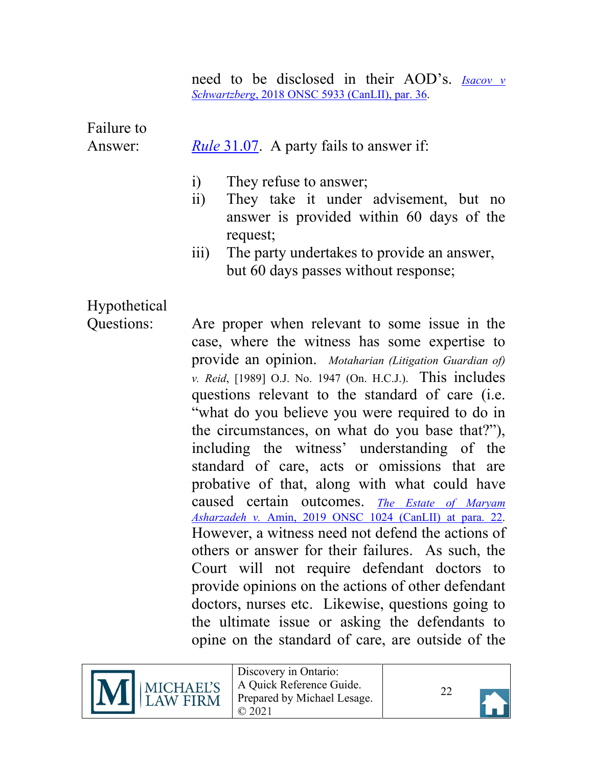need to be disclosed in their AOD's. *[Isacov v](https://canlii.ca/t/hvhwx#par36) Schwartzberg*[, 2018 ONSC 5933 \(CanLII\), par. 36.](https://canlii.ca/t/hvhwx#par36)

<span id="page-21-0"></span>Failure to

#### Answer: *Rule* [31.07.](https://canlii.ca/t/t8m#sec31.08) A party fails to answer if:

- i) They refuse to answer;
- ii) They take it under advisement, but no answer is provided within 60 days of the request;
- iii) The party undertakes to provide an answer, but 60 days passes without response;

<span id="page-21-1"></span>Hypothetical

Questions: Are proper when relevant to some issue in the case, where the witness has some expertise to provide an opinion. *Motaharian (Litigation Guardian of) v. Reid*, [1989] O.J. No. 1947 (On. H.C.J.). This includes questions relevant to the standard of care (i.e. "what do you believe you were required to do in the circumstances, on what do you base that?"), including the witness' understanding of the standard of care, acts or omissions that are probative of that, along with what could have caused certain outcomes. *[The Estate of Maryam](https://canlii.ca/t/hxgnt#par22) Asharzadeh v.* [Amin, 2019 ONSC 1024 \(CanLII\) at para. 22.](https://canlii.ca/t/hxgnt#par22) However, a witness need not defend the actions of others or answer for their failures. As such, the Court will not require defendant doctors to provide opinions on the actions of other defendant doctors, nurses etc. Likewise, questions going to the ultimate issue or asking the defendants to opine on the standard of care, are outside of the



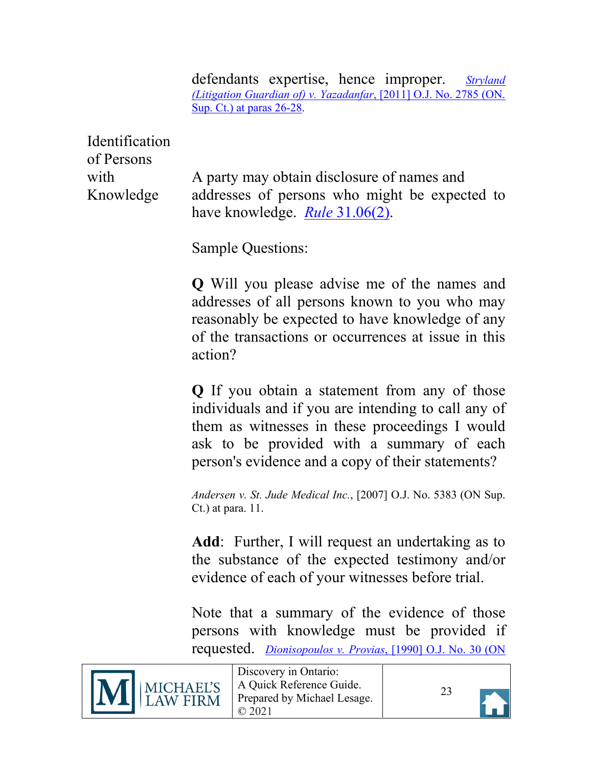defendants expertise, hence improper. *[Stryland](https://canlii.ca/t/flx8v#par26) [\(Litigation Guardian of\) v. Yazadanfar](https://canlii.ca/t/flx8v#par26)*, [2011] O.J. No. 2785 (ON. [Sup. Ct.\) at paras 26-28.](https://canlii.ca/t/flx8v#par26)

<span id="page-22-0"></span>Identification of Persons

with A party may obtain disclosure of names and Knowledge addresses of persons who might be expected to have knowledge. *Rule* [31.06\(2\).](https://canlii.ca/t/t8m#sec31.05)

Sample Questions:

**Q** Will you please advise me of the names and addresses of all persons known to you who may reasonably be expected to have knowledge of any of the transactions or occurrences at issue in this action?

**Q** If you obtain a statement from any of those individuals and if you are intending to call any of them as witnesses in these proceedings I would ask to be provided with a summary of each person's evidence and a copy of their statements?

*Andersen v. St. Jude Medical Inc.*, [2007] O.J. No. 5383 (ON Sup. Ct.) at para. 11.

**Add**: Further, I will request an undertaking as to the substance of the expected testimony and/or evidence of each of your witnesses before trial.

Note that a summary of the evidence of those persons with knowledge must be provided if requested. *Dionisopoulos v. Provias*[, \[1990\] O.J. No. 30 \(ON](https://canlii.ca/t/g1jg4)



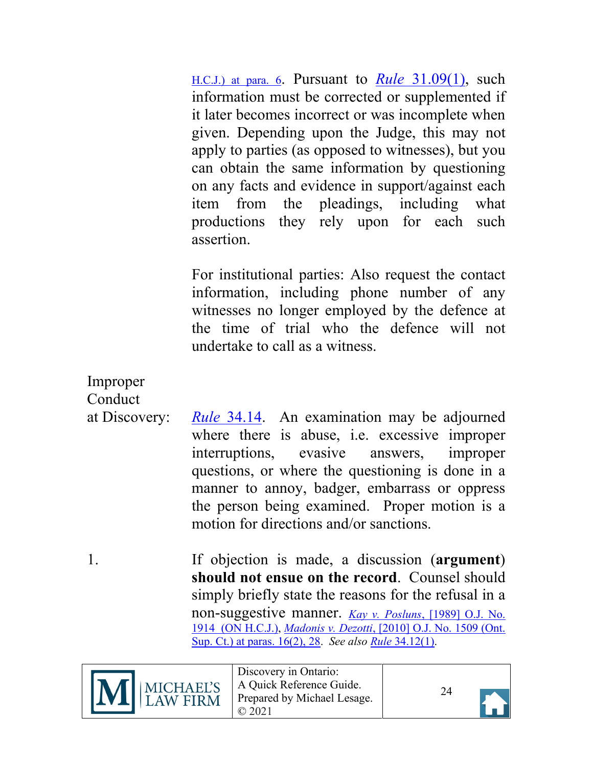[H.C.J.\) at para. 6.](https://canlii.ca/t/g1jg4) Pursuant to *Rule* [31.09\(1\),](https://canlii.ca/t/t8m#sec31.08) such information must be corrected or supplemented if it later becomes incorrect or was incomplete when given. Depending upon the Judge, this may not apply to parties (as opposed to witnesses), but you can obtain the same information by questioning on any facts and evidence in support/against each item from the pleadings, including what productions they rely upon for each such assertion.

For institutional parties: Also request the contact information, including phone number of any witnesses no longer employed by the defence at the time of trial who the defence will not undertake to call as a witness.

<span id="page-23-0"></span>Improper **Conduct** 

- at Discovery: *Rule* [34.14.](https://canlii.ca/t/t8m#sec34.13) An examination may be adjourned where there is abuse, i.e. excessive improper interruptions, evasive answers, improper questions, or where the questioning is done in a manner to annoy, badger, embarrass or oppress the person being examined. Proper motion is a motion for directions and/or sanctions.
- 1. If objection is made, a discussion (**argument**) **should not ensue on the record**. Counsel should simply briefly state the reasons for the refusal in a non-suggestive manner. *Kay v. Posluns*[, \[1989\] O.J. No.](https://canlii.ca/t/g171f) [1914 \(ON H.C.J.\),](https://canlii.ca/t/g171f) *Madonis v. Dezotti*[, \[2010\] O.J. No. 1509 \(Ont.](https://canlii.ca/t/299cs#par16) [Sup. Ct.\) at paras. 16\(2\), 28.](https://canlii.ca/t/299cs#par16) *See also Rule* [34.12\(1\).](https://canlii.ca/t/t8m#sec34.12)





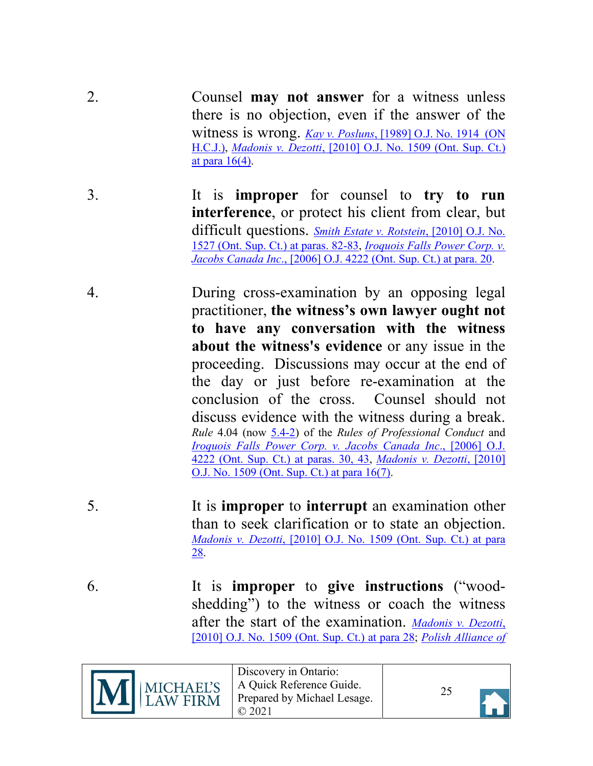- 2. Counsel **may not answer** for a witness unless there is no objection, even if the answer of the witness is wrong. *Kay v. Posluns*[, \[1989\] O.J. No. 1914 \(ON](https://canlii.ca/t/g171f) [H.C.J.\),](https://canlii.ca/t/g171f) *Madonis v. Dezotti*[, \[2010\] O.J. No. 1509](https://canlii.ca/t/299cs#par16) (Ont. Sup. Ct.) at para  $16(4)$ .
- 3. It is **improper** for counsel to **try to run interference**, or protect his client from clear, but difficult questions. *[Smith Estate v. Rotstein](https://canlii.ca/t/299rh#par82)*, [2010] O.J. No. [1527 \(Ont. Sup. Ct.\) at paras. 82-83,](https://canlii.ca/t/299rh#par82) *[Iroquois Falls Power Corp. v.](https://canlii.ca/t/1ptvd#par20) Jacobs Canada Inc*[., \[2006\] O.J. 4222 \(Ont. Sup. Ct.\) at para. 20.](https://canlii.ca/t/1ptvd#par20)
- 4. During cross-examination by an opposing legal practitioner, **the witness's own lawyer ought not to have any conversation with the witness about the witness's evidence** or any issue in the proceeding. Discussions may occur at the end of the day or just before re-examination at the conclusion of the cross. Counsel should not discuss evidence with the witness during a break. *Rule* 4.04 (now [5.4-2\)](https://lso.ca/about-lso/legislation-rules/rules-of-professional-conduct/chapter-5) of the *Rules of Professional Conduct* and *[Iroquois Falls Power Corp. v. Jacobs Canada Inc](https://canlii.ca/t/1ptvd#par30)*., [2006] O.J. [4222 \(Ont. Sup. Ct.\)](https://canlii.ca/t/1ptvd#par30) at paras. 30, 43, *[Madonis v. Dezotti](https://canlii.ca/t/299cs#par16)*, [2010] [O.J. No. 1509 \(Ont. Sup. Ct.\) at para 16\(7\).](https://canlii.ca/t/299cs#par16)
- 5. It is **improper** to **interrupt** an examination other than to seek clarification or to state an objection. *Madonis v. Dezotti*[, \[2010\] O.J. No. 1509](https://canlii.ca/t/299cs#par28) (Ont. Sup. Ct.) at para [28.](https://canlii.ca/t/299cs#par28)
- 6. It is **improper** to **give instructions** ("woodshedding") to the witness or coach the witness after the start of the examination. *[Madonis v. Dezotti](https://canlii.ca/t/299cs#par28)*, [\[2010\] O.J. No. 1509](https://canlii.ca/t/299cs#par28) (Ont. Sup. Ct.) at para 28; *[Polish Alliance of](https://canlii.ca/t/fm8x1#par27)*



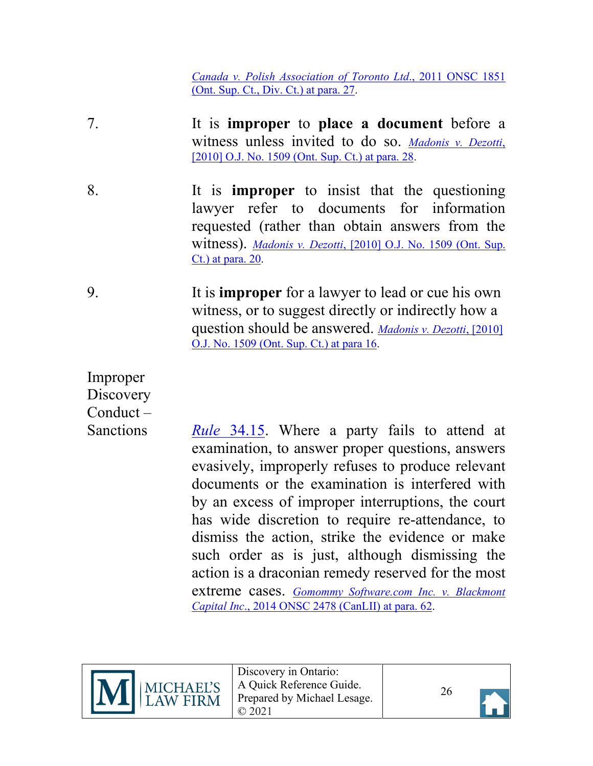<span id="page-25-0"></span>*[Canada v. Polish Association of Toronto Ltd](https://canlii.ca/t/fm8x1#par27)*., 2011 ONSC 1851 [\(Ont. Sup. Ct., Div. Ct.\) at para. 27.](https://canlii.ca/t/fm8x1#par27)

- 7. It is **improper** to **place a document** before a witness unless invited to do so. *[Madonis v. Dezotti](https://canlii.ca/t/299cs#par28)*, [\[2010\] O.J. No. 1509 \(Ont. Sup. Ct.\) at para. 28.](https://canlii.ca/t/299cs#par28)
- <span id="page-25-1"></span>8. It is **improper** to insist that the questioning lawyer refer to documents for information requested (rather than obtain answers from the witness). *Madonis v. Dezotti*[, \[2010\] O.J. No. 1509](https://canlii.ca/t/299cs#par20) (Ont. Sup. [Ct.\) at para. 20.](https://canlii.ca/t/299cs#par20)
- 9. It is **improper** for a lawyer to lead or cue his own witness, or to suggest directly or indirectly how a question should be answered. *[Madonis v. Dezotti](https://canlii.ca/t/299cs#par16)*, [2010] [O.J. No. 1509 \(Ont. Sup. Ct.\) at para 16.](https://canlii.ca/t/299cs#par16)
- <span id="page-25-2"></span>Improper **Discovery** Conduct –

Sanctions *Rule* [34.15.](https://canlii.ca/t/t8m#sec34.15) Where a party fails to attend at examination, to answer proper questions, answers evasively, improperly refuses to produce relevant documents or the examination is interfered with by an excess of improper interruptions, the court has wide discretion to require re-attendance, to dismiss the action, strike the evidence or make such order as is just, although dismissing the action is a draconian remedy reserved for the most extreme cases. *[Gomommy Software.com Inc. v. Blackmont](https://canlii.ca/t/g6lxg#par62) Capital Inc*[., 2014 ONSC 2478 \(CanLII\) at para. 62.](https://canlii.ca/t/g6lxg#par62)





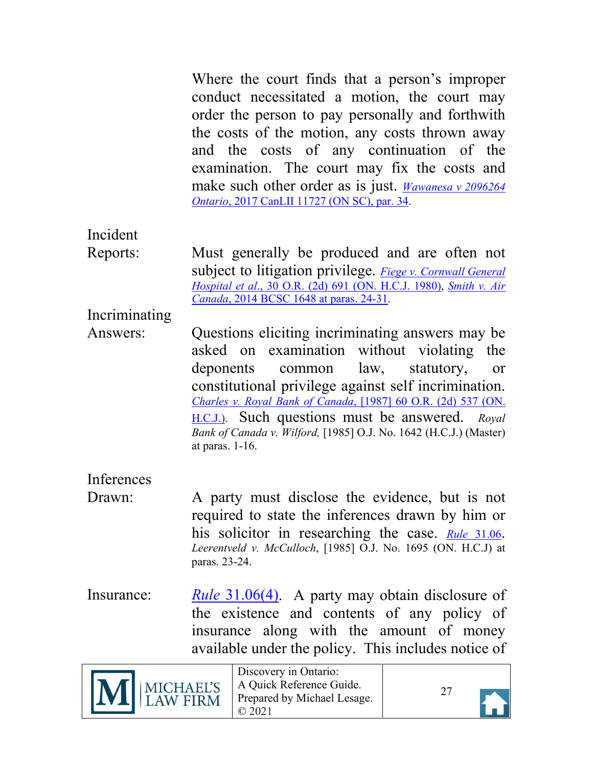Where the court finds that a person's improper conduct necessitated a motion, the court may order the person to pay personally and forthwith the costs of the motion, any costs thrown away and the costs of any continuation of the examination. The court may fix the costs and make such other order as is just. *[Wawanesa v 2096264](https://canlii.ca/t/h0p0w#par34) Ontario*[, 2017 CanLII 11727 \(ON SC\), par. 34.](https://canlii.ca/t/h0p0w#par34)

<span id="page-26-0"></span>Incident

Reports: Must generally be produced and are often not subject to litigation privilege. *[Fiege v. Cornwall General](https://canlii.ca/t/g122p) Hospital et al*[., 30 O.R. \(2d\) 691](https://canlii.ca/t/g122p) (ON. H.C.J. 1980), *[Smith v. Air](https://canlii.ca/t/g8sd8#par24)  Canada*[, 2014 BCSC 1648 at paras. 24-31.](https://canlii.ca/t/g8sd8#par24)

<span id="page-26-1"></span>Incriminating

Answers: Questions eliciting incriminating answers may be asked on examination without violating the deponents common law, statutory, or constitutional privilege against self incrimination. *Charles v. Royal Bank of Canada*[, \[1987\] 60 O.R. \(2d\) 537](https://canlii.ca/t/g1f1v) (ON. [H.C.J.\).](https://canlii.ca/t/g1f1v) Such questions must be answered. *Royal Bank of Canada v. Wilford,* [1985] O.J. No. 1642 (H.C.J.) (Master) at paras. 1-16.

<span id="page-26-2"></span>Inferences

- Drawn: A party must disclose the evidence, but is not required to state the inferences drawn by him or his solicitor in researching the case. *Rule* [31.06.](https://canlii.ca/t/t8m#sec31.05) *Leerentveld v. McCulloch*, [1985] O.J. No. 1695 (ON. H.C.J) at paras. 23-24.
- <span id="page-26-3"></span>Insurance: *Rule* [31.06\(4\).](https://canlii.ca/t/t8m#sec31.05) A party may obtain disclosure of the existence and contents of any policy of insurance along with the amount of money available under the policy. This includes notice of

| $\prod_{\text{LAW FIRM}}$ | Discovery in Ontario:<br>A Quick Reference Guide.<br>Prepared by Michael Lesage. |  |  |
|---------------------------|----------------------------------------------------------------------------------|--|--|
|---------------------------|----------------------------------------------------------------------------------|--|--|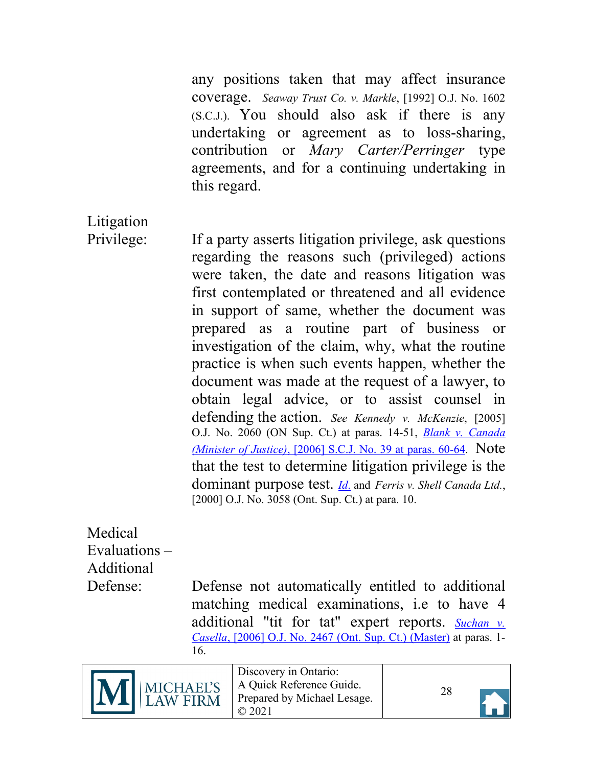any positions taken that may affect insurance coverage. *Seaway Trust Co. v. Markle*, [1992] O.J. No. 1602 (S.C.J.). You should also ask if there is any undertaking or agreement as to loss-sharing, contribution or *Mary Carter/Perringer* type agreements, and for a continuing undertaking in this regard.

<span id="page-27-0"></span>Litigation

Privilege: If a party asserts litigation privilege, ask questions regarding the reasons such (privileged) actions were taken, the date and reasons litigation was first contemplated or threatened and all evidence in support of same, whether the document was prepared as a routine part of business or investigation of the claim, why, what the routine practice is when such events happen, whether the document was made at the request of a lawyer, to obtain legal advice, or to assist counsel in defending the action. *See Kennedy v. McKenzie*, [2005] O.J. No. 2060 (ON Sup. Ct.) at paras. 14-51, *[Blank v. Canada](https://canlii.ca/t/1p7qn#par60)  (Minister of Justice)*[, \[2006\] S.C.J. No. 39 at paras. 60-64.](https://canlii.ca/t/1p7qn#par60) Note that the test to determine litigation privilege is the dominant purpose test. *[Id](https://canlii.ca/t/1p7qn#par60)*. and *Ferris v. Shell Canada Ltd.*, [2000] O.J. No. 3058 (Ont. Sup. Ct.) at para. 10.

<span id="page-27-1"></span>Medical Evaluations – Additional

Defense: Defense not automatically entitled to additional matching medical examinations, i.e to have 4 additional "tit for tat" expert reports. *[Suchan v.](https://canlii.ca/t/1nngd) Casella*, [2006] [O.J. No. 2467 \(Ont. Sup. Ct.\) \(Master\)](https://canlii.ca/t/1nngd) at paras. 1- 16.



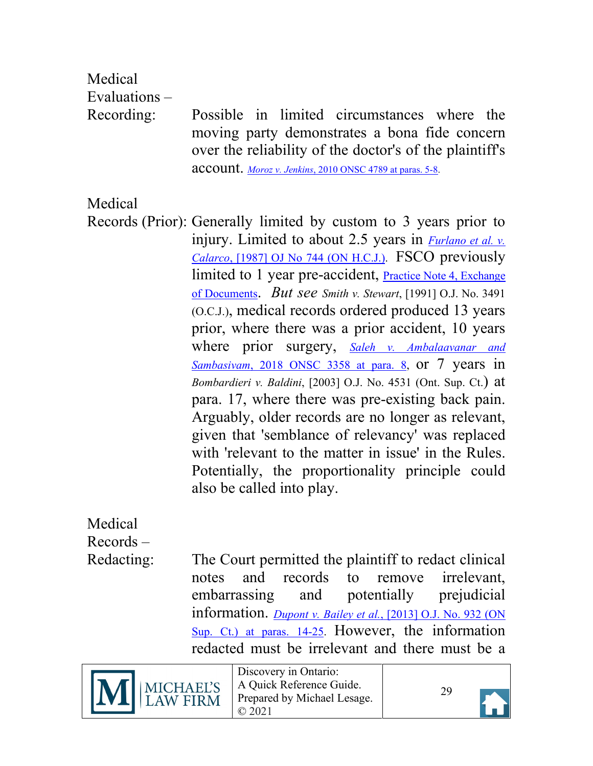<span id="page-28-0"></span>Medical Evaluations –

Recording: Possible in limited circumstances where the moving party demonstrates a bona fide concern over the reliability of the doctor's of the plaintiff's account. *Moroz v. Jenkins*[, 2010 ONSC 4789 at paras. 5-8.](https://canlii.ca/t/2cgg9#par5)

<span id="page-28-1"></span>Medical

Records (Prior): Generally limited by custom to 3 years prior to injury. Limited to about 2.5 years in *[Furlano et al. v.](https://canlii.ca/t/g1b5r) Calarco*[, \[1987\] OJ No 744 \(ON H.C.J.\).](https://canlii.ca/t/g1b5r) FSCO previously limited to 1 year pre-accident, [Practice Note 4, Exchange](https://www.fsco.gov.on.ca/en/drs/DRP-Code/Pages/practicenote-4.aspx) [of Documents.](https://www.fsco.gov.on.ca/en/drs/DRP-Code/Pages/practicenote-4.aspx) *But see Smith v. Stewart*, [1991] O.J. No. 3491 (O.C.J.), medical records ordered produced 13 years prior, where there was a prior accident, 10 years where prior surgery, *[Saleh v. Ambalaavanar and](https://canlii.ca/t/hs8tp#par8) Sambasivam*[, 2018 ONSC 3358 at para. 8,](https://canlii.ca/t/hs8tp#par8) or 7 years in *Bombardieri v. Baldini*, [2003] O.J. No. 4531 (Ont. Sup. Ct.) at para. 17, where there was pre-existing back pain. Arguably, older records are no longer as relevant, given that 'semblance of relevancy' was replaced with 'relevant to the matter in issue' in the Rules. Potentially, the proportionality principle could also be called into play.

<span id="page-28-2"></span>**Medical** Records –

Redacting: The Court permitted the plaintiff to redact clinical notes and records to remove irrelevant, embarrassing and potentially prejudicial information. *Dupont v. Bailey et al.*[, \[2013\] O.J. No. 932 \(ON](https://canlii.ca/t/fwd1g#par14) Sup. Ct.) [at paras. 14-25.](https://canlii.ca/t/fwd1g#par14) However, the information redacted must be irrelevant and there must be a



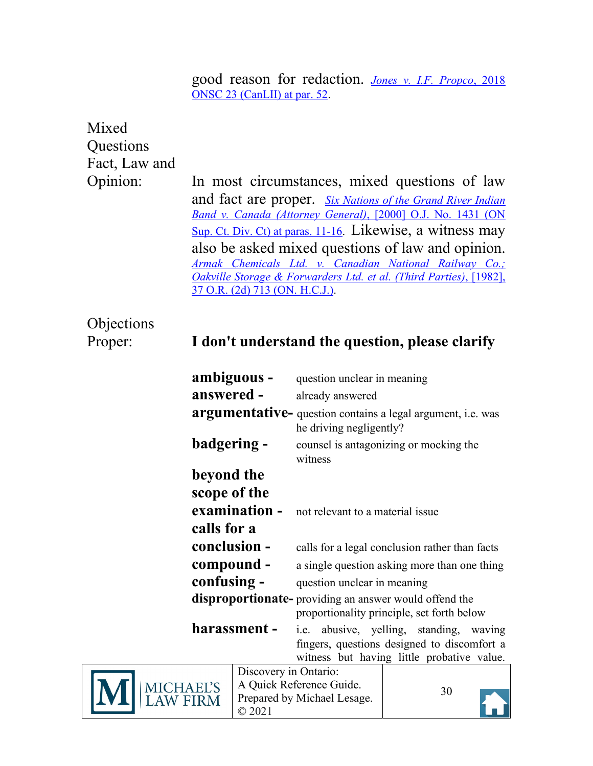good reason for redaction. *[Jones v. I.F. Propco](https://canlii.ca/t/hpkg1#par52)*, 2018 [ONSC 23 \(CanLII\) at par. 52.](https://canlii.ca/t/hpkg1#par52)

# <span id="page-29-0"></span>Mixed Questions Fact, Law and

Opinion: In most circumstances, mixed questions of law and fact are proper. *[Six Nations of the Grand River Indian](https://canlii.ca/t/23494#par11) [Band v. Canada \(Attorney General\)](https://canlii.ca/t/23494#par11)*, [2000] O.J. No. 1431 (ON [Sup. Ct. Div. Ct\) at paras. 11-16.](https://canlii.ca/t/23494#par11) Likewise, a witness may also be asked mixed questions of law and opinion. *[Armak Chemicals Ltd. v. Canadian National Railway Co.;](https://canlii.ca/t/g1901)  Oakville [Storage & Forwarders Ltd. et al. \(Third Parties\)](https://canlii.ca/t/g1901)*, [1982], [37 O.R. \(2d\) 713 \(ON. H.C.J.\).](https://canlii.ca/t/g1901)

# <span id="page-29-1"></span>Objections

### Proper: **I don't understand the question, please clarify**

| ambiguous -<br>question unclear in meaning                                                                                                           |                                            |                                                                |                                                             |  |
|------------------------------------------------------------------------------------------------------------------------------------------------------|--------------------------------------------|----------------------------------------------------------------|-------------------------------------------------------------|--|
| answered -                                                                                                                                           |                                            | already answered                                               |                                                             |  |
|                                                                                                                                                      |                                            | he driving negligently?                                        | argumentative- question contains a legal argument, i.e. was |  |
| badgering -                                                                                                                                          |                                            | witness                                                        | counsel is antagonizing or mocking the                      |  |
| beyond the                                                                                                                                           |                                            |                                                                |                                                             |  |
| scope of the                                                                                                                                         |                                            |                                                                |                                                             |  |
| examination -                                                                                                                                        |                                            | not relevant to a material issue                               |                                                             |  |
| calls for a                                                                                                                                          |                                            |                                                                |                                                             |  |
|                                                                                                                                                      | conclusion -                               |                                                                | calls for a legal conclusion rather than facts              |  |
| compound -<br>a single question asking more than one thing                                                                                           |                                            |                                                                |                                                             |  |
|                                                                                                                                                      | confusing -<br>question unclear in meaning |                                                                |                                                             |  |
|                                                                                                                                                      |                                            | disproportionate-providing an answer would offend the          | proportionality principle, set forth below                  |  |
| harassment -<br>i.e. abusive, yelling, standing, waving<br>fingers, questions designed to discomfort a<br>witness but having little probative value. |                                            |                                                                |                                                             |  |
|                                                                                                                                                      | Discovery in Ontario:                      |                                                                |                                                             |  |
| CHAEL'S                                                                                                                                              |                                            | A Quick Reference Guide.<br>$\sqrt{11}$ $\sqrt{11}$ $\sqrt{1}$ | 30                                                          |  |



© 2021

Prepared by Michael Lesage.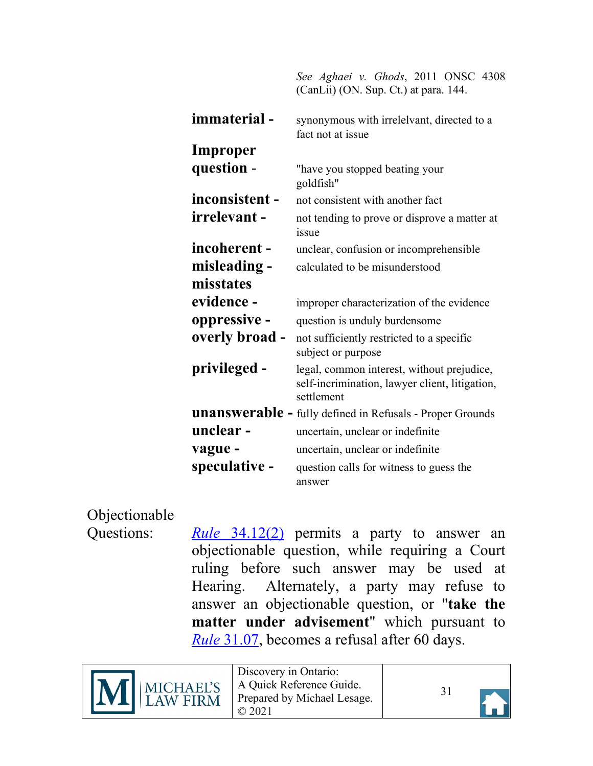*See Aghaei v. Ghods*, 2011 ONSC 4308 (CanLii) (ON. Sup. Ct.) at para. 144.

| immaterial-    | synonymous with irrelelvant, directed to a<br>fact not at issue                                            |
|----------------|------------------------------------------------------------------------------------------------------------|
| Improper       |                                                                                                            |
| question -     | "have you stopped beating your<br>goldfish"                                                                |
| inconsistent - | not consistent with another fact                                                                           |
| irrelevant -   | not tending to prove or disprove a matter at<br>issue                                                      |
| incoherent-    | unclear, confusion or incomprehensible                                                                     |
| misleading -   | calculated to be misunderstood                                                                             |
| misstates      |                                                                                                            |
| evidence -     | improper characterization of the evidence                                                                  |
| oppressive -   | question is unduly burdensome                                                                              |
| overly broad - | not sufficiently restricted to a specific<br>subject or purpose                                            |
| privileged -   | legal, common interest, without prejudice,<br>self-incrimination, lawyer client, litigation,<br>settlement |
|                | <b>unanswerable - fully defined in Refusals - Proper Grounds</b>                                           |
| unclear-       | uncertain, unclear or indefinite                                                                           |
| vague -        | uncertain, unclear or indefinite                                                                           |
| speculative -  | question calls for witness to guess the<br>answer                                                          |

<span id="page-30-0"></span>Objectionable

Questions: *Rule* [34.12\(2\)](https://canlii.ca/t/t8m#sec34.12) permits a party to answer an objectionable question, while requiring a Court ruling before such answer may be used at Hearing. Alternately, a party may refuse to answer an objectionable question, or "**take the matter under advisement**" which pursuant to *Rule* [31.07,](https://canlii.ca/t/t8m#sec31.08) becomes a refusal after 60 days.



Discovery in Ontario: A Quick Reference Guide. Prepared by Michael Lesage. © 2021

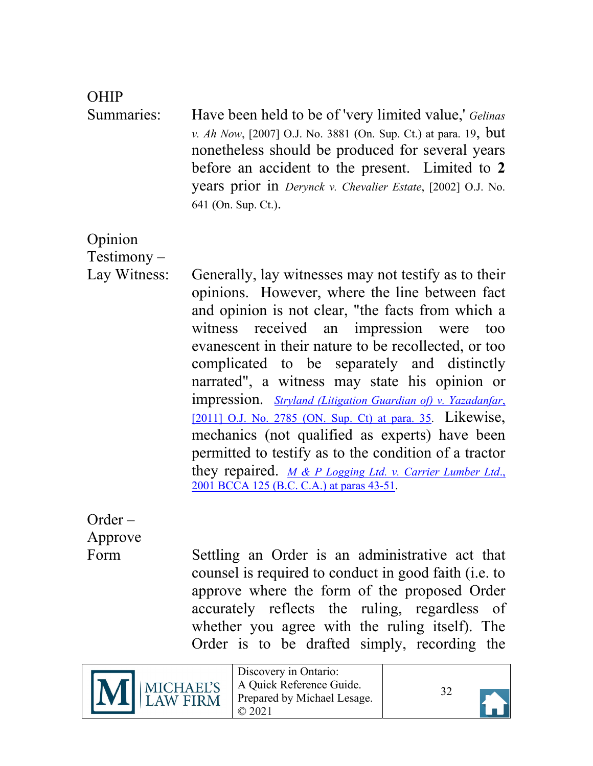#### <span id="page-31-0"></span>OHIP

Summaries: Have been held to be of 'very limited value,' *Gelinas v. Ah Now*, [2007] O.J. No. 3881 (On. Sup. Ct.) at para. 19, but nonetheless should be produced for several years before an accident to the present. Limited to **2** years prior in *Derynck v. Chevalier Estate*, [2002] O.J. No. 641 (On. Sup. Ct.).

<span id="page-31-1"></span>Opinion

Testimony –

Lay Witness: Generally, lay witnesses may not testify as to their opinions. However, where the line between fact and opinion is not clear, "the facts from which a witness received an impression were too evanescent in their nature to be recollected, or too complicated to be separately and distinctly narrated", a witness may state his opinion or impression. *[Stryland \(Litigation Guardian of\) v. Yazadanfar](https://canlii.ca/t/flx8v#par35)*, [\[2011\] O.J. No. 2785 \(ON. Sup. Ct\) at para. 35.](https://canlii.ca/t/flx8v#par35) Likewise, mechanics (not qualified as experts) have been permitted to testify as to the condition of a tractor they repaired. *M & [P Logging Ltd. v. Carrier Lumber Ltd](https://canlii.ca/t/1fn5h#par43)*., [2001 BCCA 125 \(B.C. C.A.\) at paras 43-51.](https://canlii.ca/t/1fn5h#par43)

<span id="page-31-2"></span>Order – Approve

Form Settling an Order is an administrative act that counsel is required to conduct in good faith (i.e. to approve where the form of the proposed Order accurately reflects the ruling, regardless of whether you agree with the ruling itself). The Order is to be drafted simply, recording the





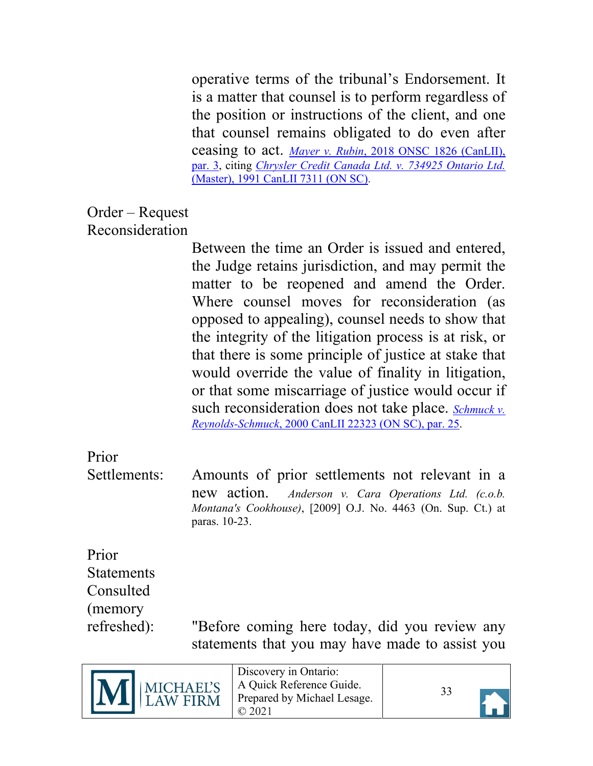operative terms of the tribunal's Endorsement. It is a matter that counsel is to perform regardless of the position or instructions of the client, and one that counsel remains obligated to do even after ceasing to act. *Mayer v. Rubin*[, 2018 ONSC 1826 \(CanLII\),](https://canlii.ca/t/hr1pp#par3) [par. 3,](https://canlii.ca/t/hr1pp#par3) citing *[Chrysler Credit Canada Ltd. v. 734925 Ontario Ltd.](https://canlii.ca/t/g15rk)* [\(Master\), 1991 CanLII 7311 \(ON SC\).](https://canlii.ca/t/g15rk)

#### <span id="page-32-0"></span>Order – Request Reconsideration

Between the time an Order is issued and entered, the Judge retains jurisdiction, and may permit the matter to be reopened and amend the Order. Where counsel moves for reconsideration (as opposed to appealing), counsel needs to show that the integrity of the litigation process is at risk, or that there is some principle of justice at stake that would override the value of finality in litigation, or that some miscarriage of justice would occur if such reconsideration does not take place. *[Schmuck v.](https://canlii.ca/t/1vz2h#par25) Reynolds-Schmuck*[, 2000 CanLII 22323 \(ON SC\), par. 25.](https://canlii.ca/t/1vz2h#par25)

# <span id="page-32-1"></span>Prior

Settlements: Amounts of prior settlements not relevant in a new action. *Anderson v. Cara Operations Ltd. (c.o.b. Montana's Cookhouse)*, [2009] O.J. No. 4463 (On. Sup. Ct.) at paras. 10-23.

# <span id="page-32-2"></span>Prior Statements Consulted (memory

refreshed): "Before coming here today, did you review any statements that you may have made to assist you

|--|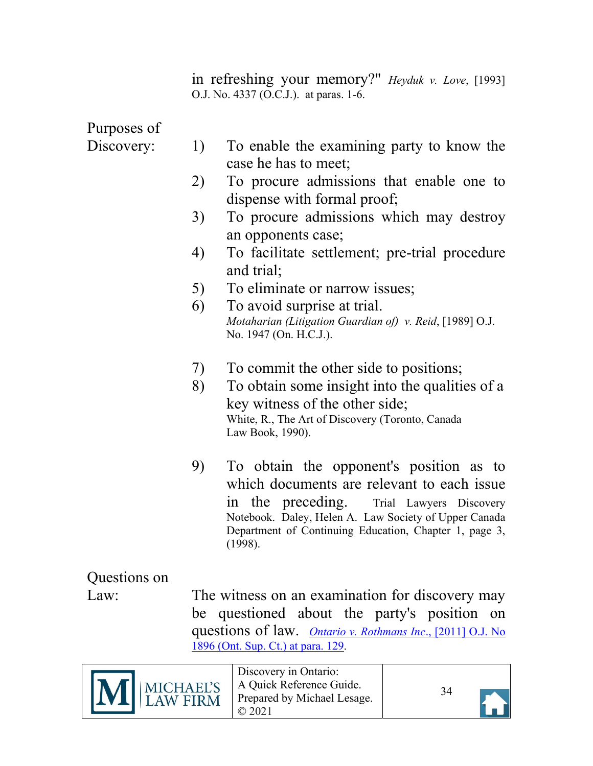in refreshing your memory?" *Heyduk v. Love*, [1993] O.J. No. 4337 (O.C.J.). at paras. 1-6.

<span id="page-33-1"></span>Purposes of

- Discovery: 1) To enable the examining party to know the case he has to meet;
	- 2) To procure admissions that enable one to dispense with formal proof;
	- 3) To procure admissions which may destroy an opponents case;
	- 4) To facilitate settlement; pre-trial procedure and trial;
	- 5) To eliminate or narrow issues;
	- 6) To avoid surprise at trial. *Motaharian (Litigation Guardian of) v. Reid*, [1989] O.J. No. 1947 (On. H.C.J.).
	- 7) To commit the other side to positions;
	- 8) To obtain some insight into the qualities of a key witness of the other side; White, R., The Art of Discovery (Toronto, Canada Law Book, 1990).
	- 9) To obtain the opponent's position as to which documents are relevant to each issue in the preceding. Trial Lawyers Discovery Notebook. Daley, Helen A. Law Society of Upper Canada Department of Continuing Education, Chapter 1, page 3, (1998).

<span id="page-33-0"></span>Questions on

Law: The witness on an examination for discovery may be questioned about the party's position on questions of law. *[Ontario v. Rothmans Inc](https://canlii.ca/t/fl605#par129)*., [2011] O.J. No [1896 \(Ont. Sup. Ct.\) at para. 129.](https://canlii.ca/t/fl605#par129)

|  | M MICHAEL'S | Discovery in Ontario:<br>A Quick Reference Guide.<br>Prepared by Michael Lesage. |  |
|--|-------------|----------------------------------------------------------------------------------|--|
|--|-------------|----------------------------------------------------------------------------------|--|

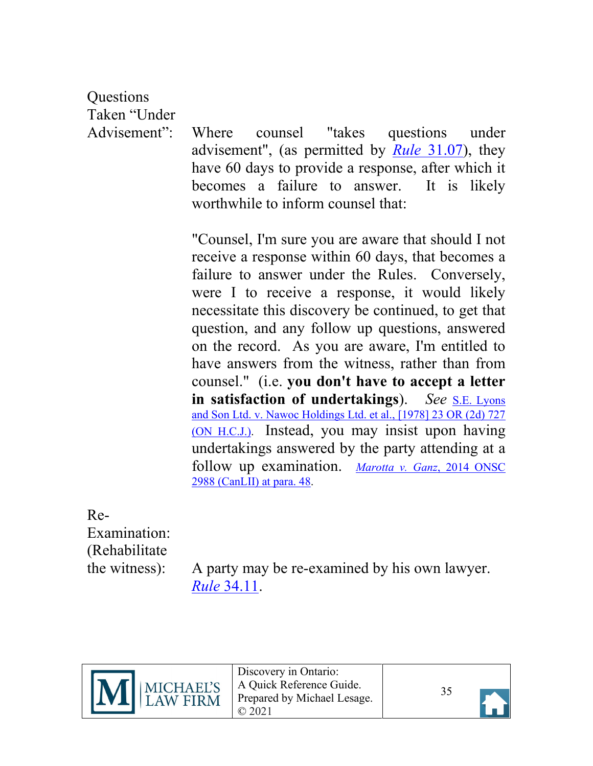<span id="page-34-1"></span>**Ouestions** Taken "Under

Advisement": Where counsel "takes questions under advisement", (as permitted by *Rule* [31.07\)](https://canlii.ca/t/t8m#sec31.08), they have 60 days to provide a response, after which it becomes a failure to answer. It is likely worthwhile to inform counsel that:

> "Counsel, I'm sure you are aware that should I not receive a response within 60 days, that becomes a failure to answer under the Rules. Conversely, were I to receive a response, it would likely necessitate this discovery be continued, to get that question, and any follow up questions, answered on the record. As you are aware, I'm entitled to have answers from the witness, rather than from counsel." (i.e. **you don't have to accept a letter in satisfaction of undertakings**). *See* [S.E. Lyons](https://canlii.ca/t/g1ckh) [and Son Ltd. v. Nawoc Holdings Ltd. et al., \[1978\] 23 OR \(2d\) 727](https://canlii.ca/t/g1ckh)  [\(ON H.C.J.\).](https://canlii.ca/t/g1ckh) Instead, you may insist upon having undertakings answered by the party attending at a follow up examination. *[Marotta v. Ganz](https://canlii.ca/t/g6w4r#par48)*, 2014 ONSC [2988 \(CanLII\) at para. 48.](https://canlii.ca/t/g6w4r#par48)

<span id="page-34-0"></span>Re-Examination: (Rehabilitate

the witness): A party may be re-examined by his own lawyer. *Rule* [34.11.](https://canlii.ca/t/t8m#sec34.12)





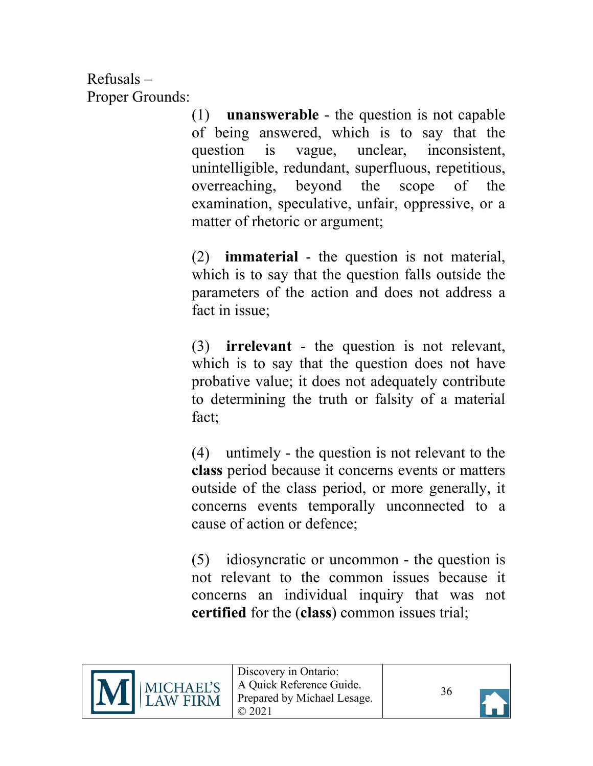<span id="page-35-0"></span>Refusals – Proper Grounds:

(1) **unanswerable** - the question is not capable of being answered, which is to say that the question is vague, unclear, inconsistent, unintelligible, redundant, superfluous, repetitious, overreaching, beyond the scope of the examination, speculative, unfair, oppressive, or a matter of rhetoric or argument;

(2) **immaterial** - the question is not material, which is to say that the question falls outside the parameters of the action and does not address a fact in issue;

(3) **irrelevant** - the question is not relevant, which is to say that the question does not have probative value; it does not adequately contribute to determining the truth or falsity of a material fact;

(4) untimely - the question is not relevant to the **class** period because it concerns events or matters outside of the class period, or more generally, it concerns events temporally unconnected to a cause of action or defence;

(5) idiosyncratic or uncommon - the question is not relevant to the common issues because it concerns an individual inquiry that was not **certified** for the (**class**) common issues trial;



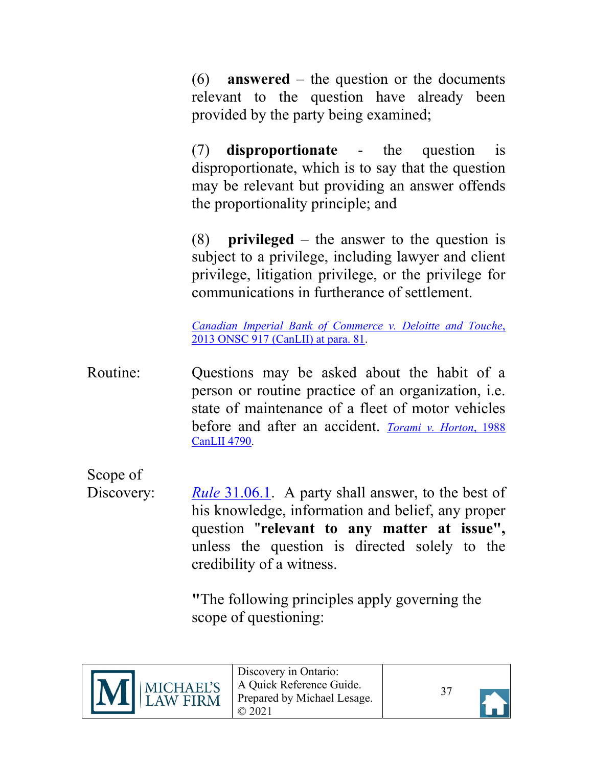(6) **answered** – the question or the documents relevant to the question have already been provided by the party being examined;

(7) **disproportionate** - the question is disproportionate, which is to say that the question may be relevant but providing an answer offends the proportionality principle; and

(8) **privileged** – the answer to the question is subject to a privilege, including lawyer and client privilege, litigation privilege, or the privilege for communications in furtherance of settlement.

*Canadian Imperial Bank of Commerce v. Deloitte and Touche*, 2013 ONSC 917 (CanLII) at para. 81.

<span id="page-36-0"></span>Routine: Questions may be asked about the habit of a person or routine practice of an organization, i.e. state of maintenance of a fleet of motor vehicles before and after an accident. *[Torami v. Horton](https://canlii.ca/t/g15qk)*, 1988 [CanLII 4790.](https://canlii.ca/t/g15qk)

<span id="page-36-1"></span>Scope of

Discovery: *Rule* [31.06.1.](https://canlii.ca/t/t8m#sec31.05) A party shall answer, to the best of his knowledge, information and belief, any proper question "**relevant to any matter at issue",** unless the question is directed solely to the credibility of a witness.

> **"**The following principles apply governing the scope of questioning:



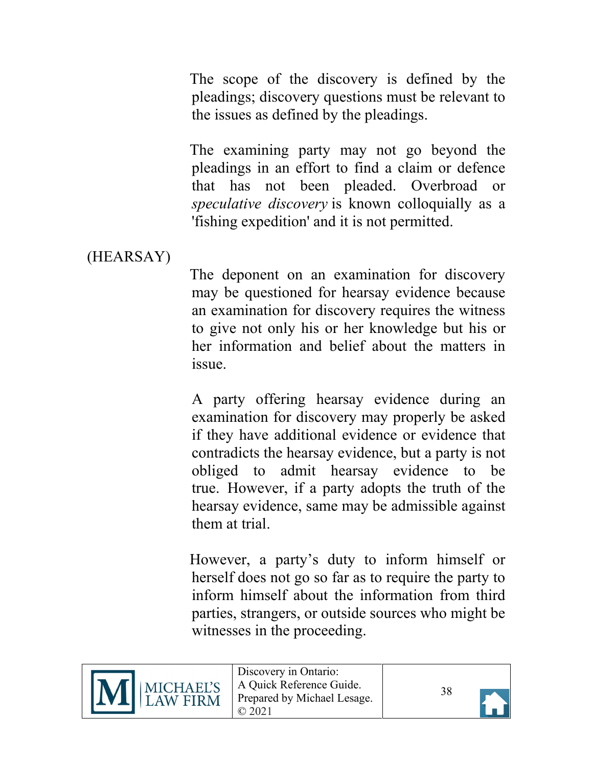The scope of the discovery is defined by the pleadings; discovery questions must be relevant to the issues as defined by the pleadings.

The examining party may not go beyond the pleadings in an effort to find a claim or defence that has not been pleaded. Overbroad or *speculative discovery* is known colloquially as a 'fishing expedition' and it is not permitted.

### <span id="page-37-0"></span>(HEARSAY)

The deponent on an examination for discovery may be questioned for hearsay evidence because an examination for discovery requires the witness to give not only his or her knowledge but his or her information and belief about the matters in issue.

A party offering hearsay evidence during an examination for discovery may properly be asked if they have additional evidence or evidence that contradicts the hearsay evidence, but a party is not obliged to admit hearsay evidence to be true. However, if a party adopts the truth of the hearsay evidence, same may be admissible against them at trial.

However, a party's duty to inform himself or herself does not go so far as to require the party to inform himself about the information from third parties, strangers, or outside sources who might be witnesses in the proceeding.



Discovery in Ontario: A Quick Reference Guide. Prepared by Michael Lesage. © 2021

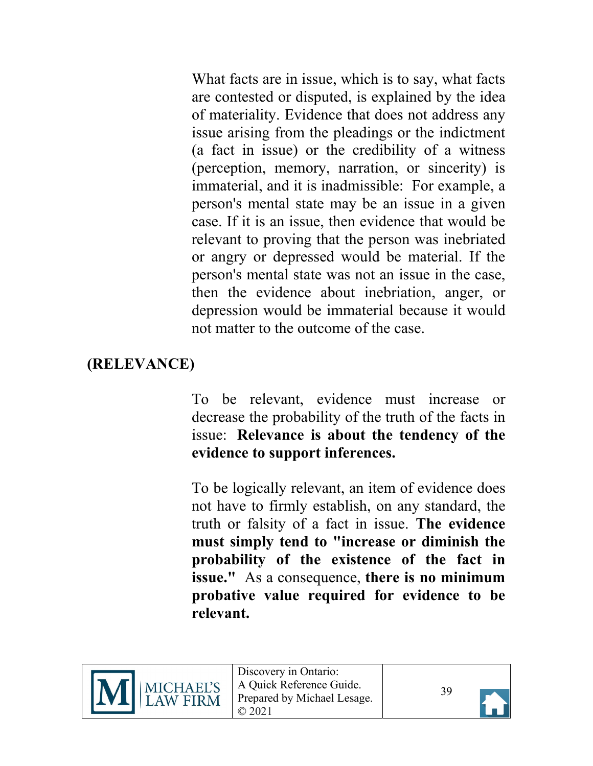What facts are in issue, which is to say, what facts are contested or disputed, is explained by the idea of materiality. Evidence that does not address any issue arising from the pleadings or the indictment (a fact in issue) or the credibility of a witness (perception, memory, narration, or sincerity) is immaterial, and it is inadmissible: For example, a person's mental state may be an issue in a given case. If it is an issue, then evidence that would be relevant to proving that the person was inebriated or angry or depressed would be material. If the person's mental state was not an issue in the case, then the evidence about inebriation, anger, or depression would be immaterial because it would not matter to the outcome of the case.

## <span id="page-38-0"></span>**(RELEVANCE)**

To be relevant, evidence must increase or decrease the probability of the truth of the facts in issue: **Relevance is about the tendency of the evidence to support inferences.**

To be logically relevant, an item of evidence does not have to firmly establish, on any standard, the truth or falsity of a fact in issue. **The evidence must simply tend to "increase or diminish the probability of the existence of the fact in issue."** As a consequence, **there is no minimum probative value required for evidence to be relevant.** 



Discovery in Ontario: A Quick Reference Guide. Prepared by Michael Lesage. © 2021

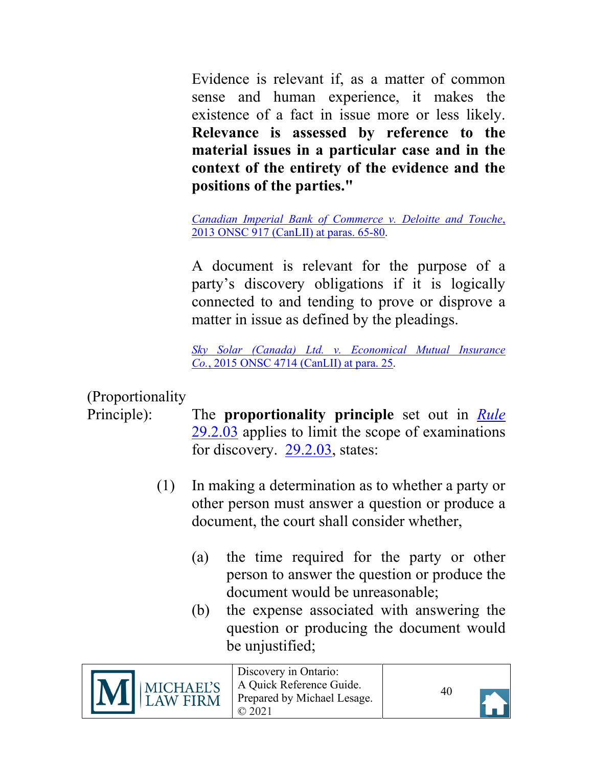Evidence is relevant if, as a matter of common sense and human experience, it makes the existence of a fact in issue more or less likely. **Relevance is assessed by reference to the material issues in a particular case and in the context of the entirety of the evidence and the positions of the parties."** 

*[Canadian Imperial Bank of Commerce v. Deloitte and Touche](https://canlii.ca/t/fw1gn#par65)*, [2013 ONSC 917 \(CanLII\) at paras. 65-80.](https://canlii.ca/t/fw1gn#par65)

A document is relevant for the purpose of a party's discovery obligations if it is logically connected to and tending to prove or disprove a matter in issue as defined by the pleadings.

*Sky Solar (Canada) Ltd. [v. Economical Mutual Insurance](https://canlii.ca/t/gkb1n#par25)  Co.*[, 2015 ONSC 4714 \(CanLII\)](https://canlii.ca/t/gkb1n#par25) at para. 25.

## <span id="page-39-0"></span>(Proportionality

- Principle): The **proportionality principle** set out in *[Rule](https://canlii.ca/t/t8m#sec29.2.02)* [29.2.03](https://canlii.ca/t/t8m#sec29.2.02) applies to limit the scope of examinations for discovery. [29.2.03,](https://canlii.ca/t/t8m#sec29.2.02) states:
	- (1) In making a determination as to whether a party or other person must answer a question or produce a document, the court shall consider whether,
		- (a) the time required for the party or other person to answer the question or produce the document would be unreasonable;
		- (b) the expense associated with answering the question or producing the document would be unjustified;

| M MICHAEL'S | Discovery in Ontario:<br>A Quick Reference Guide.<br>Prepared by Michael Lesage. | 40 |  |
|-------------|----------------------------------------------------------------------------------|----|--|
|-------------|----------------------------------------------------------------------------------|----|--|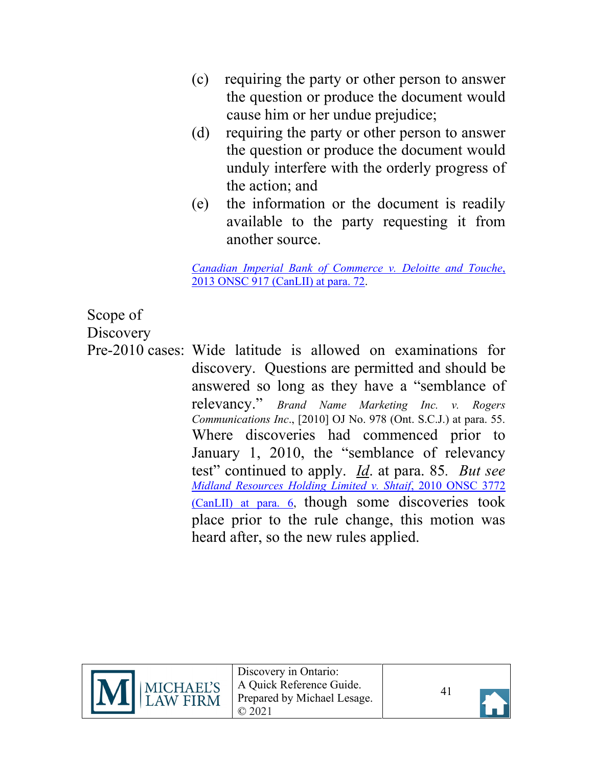- (c) requiring the party or other person to answer the question or produce the document would cause him or her undue prejudice;
- (d) requiring the party or other person to answer the question or produce the document would unduly interfere with the orderly progress of the action; and
- (e) the information or the document is readily available to the party requesting it from another source.

*[Canadian Imperial Bank of Commerce v. Deloitte and Touche](https://canlii.ca/t/fw1gn#par72)*, [2013 ONSC 917 \(CanLII\) at para. 72.](https://canlii.ca/t/fw1gn#par72)

## <span id="page-40-0"></span>Scope of

**Discovery** 

Pre-2010 cases: Wide latitude is allowed on examinations for discovery. Questions are permitted and should be answered so long as they have a "semblance of relevancy." *Brand Name Marketing Inc. v. Rogers Communications Inc*., [2010] OJ No. 978 (Ont. S.C.J.) at para. 55. Where discoveries had commenced prior to January 1, 2010, the "semblance of relevancy test" continued to apply. *Id*. at para. 85*. But see [Midland Resources Holding Limited v. Shtaif](https://canlii.ca/t/2bbgb#par6)*, 2010 ONSC 3772 [\(CanLII\) at para. 6,](https://canlii.ca/t/2bbgb#par6) though some discoveries took place prior to the rule change, this motion was heard after, so the new rules applied.



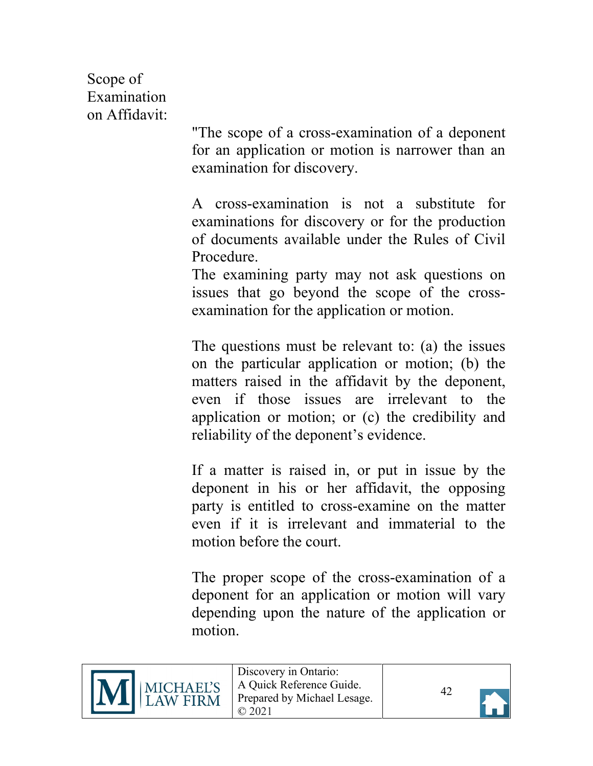<span id="page-41-0"></span>Scope of Examination on Affidavit:

"The scope of a cross-examination of a deponent for an application or motion is narrower than an examination for discovery.

A cross-examination is not a substitute for examinations for discovery or for the production of documents available under the Rules of Civil Procedure.

The examining party may not ask questions on issues that go beyond the scope of the crossexamination for the application or motion.

The questions must be relevant to: (a) the issues on the particular application or motion; (b) the matters raised in the affidavit by the deponent, even if those issues are irrelevant to the application or motion; or (c) the credibility and reliability of the deponent's evidence.

If a matter is raised in, or put in issue by the deponent in his or her affidavit, the opposing party is entitled to cross-examine on the matter even if it is irrelevant and immaterial to the motion before the court.

The proper scope of the cross-examination of a deponent for an application or motion will vary depending upon the nature of the application or motion.



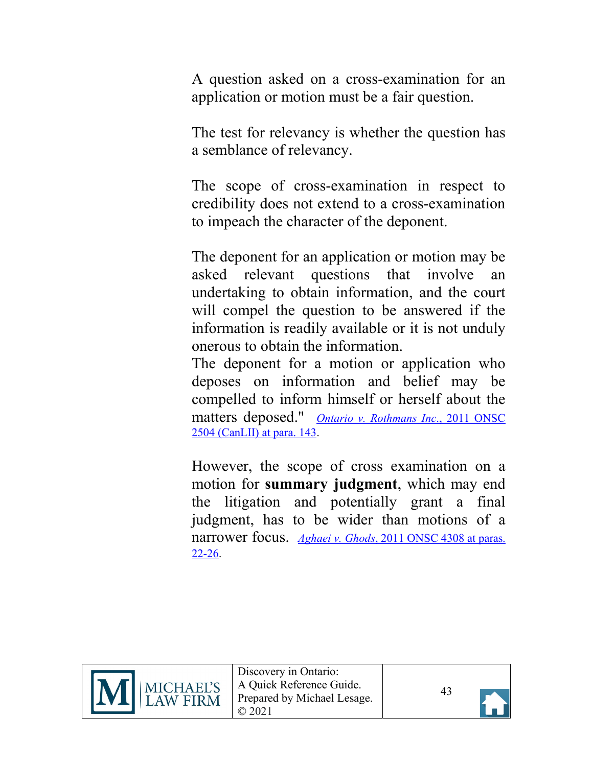A question asked on a cross-examination for an application or motion must be a fair question.

The test for relevancy is whether the question has a semblance of relevancy.

The scope of cross-examination in respect to credibility does not extend to a cross-examination to impeach the character of the deponent.

The deponent for an application or motion may be asked relevant questions that involve an undertaking to obtain information, and the court will compel the question to be answered if the information is readily available or it is not unduly onerous to obtain the information.

The deponent for a motion or application who deposes on information and belief may be compelled to inform himself or herself about the matters deposed." *[Ontario v. Rothmans Inc](https://canlii.ca/t/fl605#par143)*., 2011 ONSC [2504 \(CanLII\) at para. 143.](https://canlii.ca/t/fl605#par143)

However, the scope of cross examination on a motion for **summary judgment**, which may end the litigation and potentially grant a final judgment, has to be wider than motions of a narrower focus. *Aghaei v. Ghods*[, 2011 ONSC 4308 at paras.](https://canlii.ca/t/fmb85#par22) [22-26.](https://canlii.ca/t/fmb85#par22)





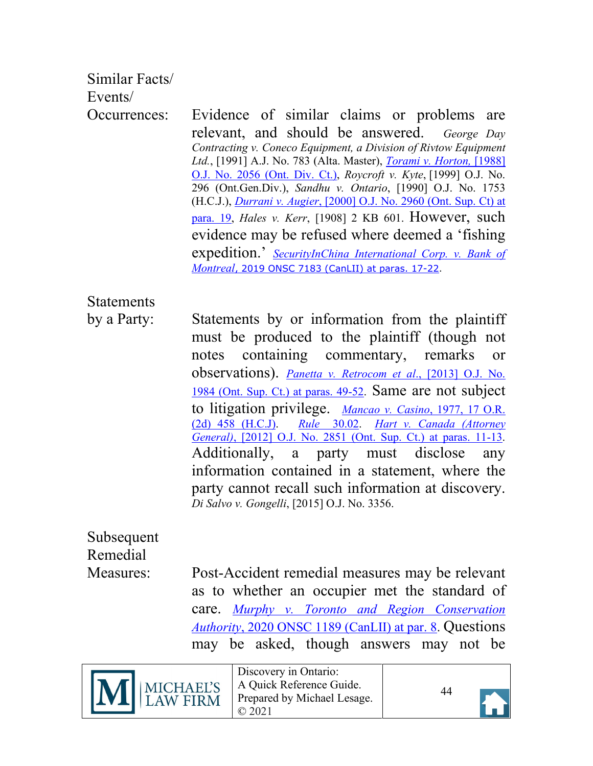### <span id="page-43-1"></span><span id="page-43-0"></span>Similar Facts/

Events/

Occurrences: Evidence of similar claims or problems are relevant, and should be answered. *George Day Contracting v. Coneco Equipment, a Division of Rivtow Equipment Ltd.*, [1991] A.J. No. 783 (Alta. Master), *[Torami v. Horton,](https://canlii.ca/t/g15qk)* [1988] [O.J. No. 2056 \(Ont. Div. Ct.\),](https://canlii.ca/t/g15qk) *Roycroft v. Kyte*, [1999] O.J. No. 296 (Ont.Gen.Div.), *Sandhu v. Ontario*, [1990] O.J. No. 1753 (H.C.J.), *Durrani v. Augier*[, \[2000\] O.J. No. 2960 \(Ont. Sup. Ct\) at](https://canlii.ca/t/1w0x7#par19)  [para. 19,](https://canlii.ca/t/1w0x7#par19) *Hales v. Kerr*, [1908] 2 KB 601. However, such evidence may be refused where deemed a 'fishing expedition.' *[SecurityInChina International Corp. v. Bank of](https://canlii.ca/t/j3w6g#par17) Montreal*[, 2019 ONSC 7183 \(CanLII\) at paras. 17-22.](https://canlii.ca/t/j3w6g#par17)

<span id="page-43-2"></span>Statements

by a Party: Statements by or information from the plaintiff must be produced to the plaintiff (though not notes containing commentary, remarks or observations). *[Panetta v. Retrocom et al](https://canlii.ca/t/fx8jp#par49)*., [2013] O.J. No. [1984 \(Ont. Sup. Ct.\) at paras. 49-52.](https://canlii.ca/t/fx8jp#par49) Same are not subject to litigation privilege. *[Mancao v. Casino](https://canlii.ca/t/g15cf)*, 1977, 17 O.R. [\(2d\) 458 \(H.C.J\).](https://canlii.ca/t/g15cf) *Rule* [30.02.](https://canlii.ca/t/t8m#sec30.01) *Hart [v. Canada \(Attorney](https://canlii.ca/t/frswx#par11)  General)*[, \[2012\] O.J. No. 2851 \(Ont. Sup. Ct.\) at paras. 11-13.](https://canlii.ca/t/frswx#par11) Additionally, a party must disclose any information contained in a statement, where the party cannot recall such information at discovery. *Di Salvo v. Gongelli*, [2015] O.J. No. 3356.

<span id="page-43-3"></span>Subsequent Remedial

Measures: Post-Accident remedial measures may be relevant as to whether an occupier met the standard of care. *[Murphy v. Toronto and Region Conservation](https://canlii.ca/t/j5hf7#par8)  Authority*[, 2020 ONSC 1189 \(CanLII\) at](https://canlii.ca/t/j5hf7#par8) par. 8. Questions may be asked, though answers may not be



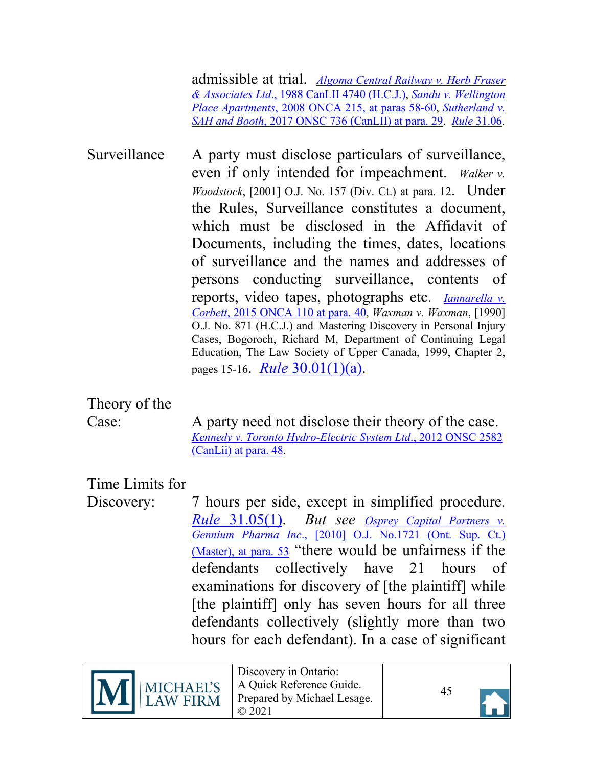admissible at trial. *[Algoma Central Railway](https://canlii.ca/t/g17xz) v. Herb Fraser & Associates Ltd*[., 1988 CanLII 4740 \(H.C.J.\),](https://canlii.ca/t/g17xz) *[Sandu v. Wellington](https://canlii.ca/t/1w9gc#par58)  Place Apartments*[, 2008 ONCA 215, at paras 58-60,](https://canlii.ca/t/1w9gc#par58) *[Sutherland v.](https://canlii.ca/t/gx646#par29)  SAH and Booth*[, 2017 ONSC 736 \(CanLII\) at para. 29.](https://canlii.ca/t/gx646#par29) *Rule* [31.06.](https://canlii.ca/t/t8m#sec31.05)

<span id="page-44-0"></span>Surveillance A party must disclose particulars of surveillance, even if only intended for impeachment. *Walker v. Woodstock*, [2001] O.J. No. 157 (Div. Ct.) at para. 12. Under the Rules, Surveillance constitutes a document, which must be disclosed in the Affidavit of Documents, including the times, dates, locations of surveillance and the names and addresses of persons conducting surveillance, contents of reports, video tapes, photographs etc. *[Iannarella v.](https://canlii.ca/t/ggbk3#par40) Corbett*[, 2015 ONCA 110 at para. 40,](https://canlii.ca/t/ggbk3#par40) *Waxman v. Waxman*, [1990] O.J. No. 871 (H.C.J.) and Mastering Discovery in Personal Injury Cases, Bogoroch, Richard M, Department of Continuing Legal Education, The Law Society of Upper Canada, 1999, Chapter 2, pages 15-16. *Rule* [30.01\(1\)\(a\).](https://canlii.ca/t/t8m#sec30.01)

## <span id="page-44-1"></span>Theory of the

Case: A party need not disclose their theory of the case. *[Kennedy v. Toronto Hydro-Electric System Ltd](https://canlii.ca/t/fr56x#par48)*., 2012 ONSC 2582 [\(CanLii\) at para. 48.](https://canlii.ca/t/fr56x#par48)

### <span id="page-44-2"></span>Time Limits for

Discovery: 7 hours per side, except in simplified procedure. *Rule* [31.05\(1\).](https://canlii.ca/t/t8m#sec31.05) *But see [Osprey Capital Partners v.](https://canlii.ca/t/29fw8#par53) Gennium Pharma Inc*[., \[2010\] O.J. No.1721](https://canlii.ca/t/29fw8#par53) (Ont. Sup. Ct.) [\(Master\), at para. 53](https://canlii.ca/t/29fw8#par53) "there would be unfairness if the defendants collectively have 21 hours of examinations for discovery of [the plaintiff] while [the plaintiff] only has seven hours for all three defendants collectively (slightly more than two hours for each defendant). In a case of significant



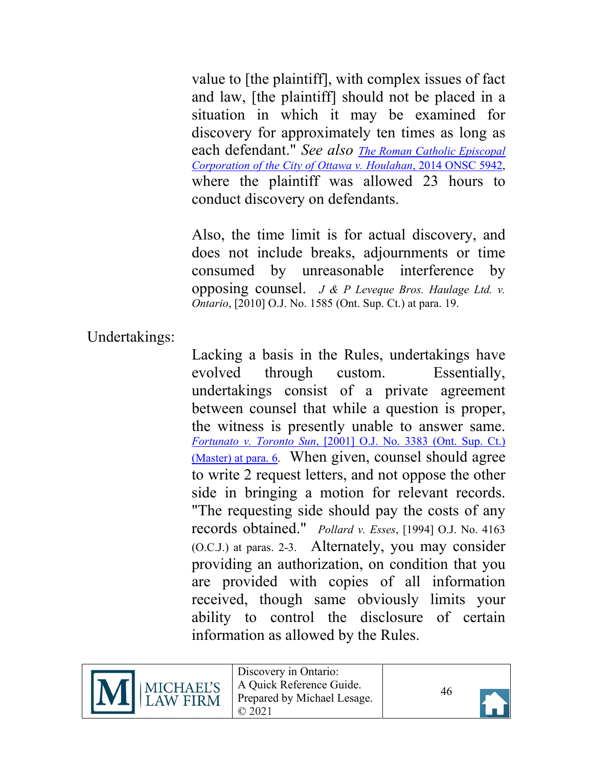value to [the plaintiff], with complex issues of fact and law, [the plaintiff] should not be placed in a situation in which it may be examined for discovery for approximately ten times as long as each defendant." *See also [The Roman Catholic Episcopal](https://canlii.ca/t/gdz7q#par11) [Corporation of the City of Ottawa v. Houlahan](https://canlii.ca/t/gdz7q#par11)*, 2014 ONSC 5942, where the plaintiff was allowed 23 hours to conduct discovery on defendants.

Also, the time limit is for actual discovery, and does not include breaks, adjournments or time consumed by unreasonable interference by opposing counsel. *J & P Leveque Bros. Haulage Ltd. v. Ontario*, [2010] O.J. No. 1585 (Ont. Sup. Ct.) at para. 19.

<span id="page-45-0"></span>Undertakings:

Lacking a basis in the Rules, undertakings have evolved through custom. Essentially, undertakings consist of a private agreement between counsel that while a question is proper, the witness is presently unable to answer same. *Fortunato v. Toronto Sun*[, \[2001\] O.J. No. 3383 \(Ont.](https://canlii.ca/t/1vz4n#par6) Sup. Ct.) (Master) [at para. 6.](https://canlii.ca/t/1vz4n#par6) When given, counsel should agree to write 2 request letters, and not oppose the other side in bringing a motion for relevant records. "The requesting side should pay the costs of any records obtained." *Pollard v. Esses*, [1994] O.J. No. 4163 (O.C.J.) at paras. 2-3. Alternately, you may consider providing an authorization, on condition that you are provided with copies of all information received, though same obviously limits your ability to control the disclosure of certain information as allowed by the Rules.



Discovery in Ontario: A Quick Reference Guide. Prepared by Michael Lesage. © 2021

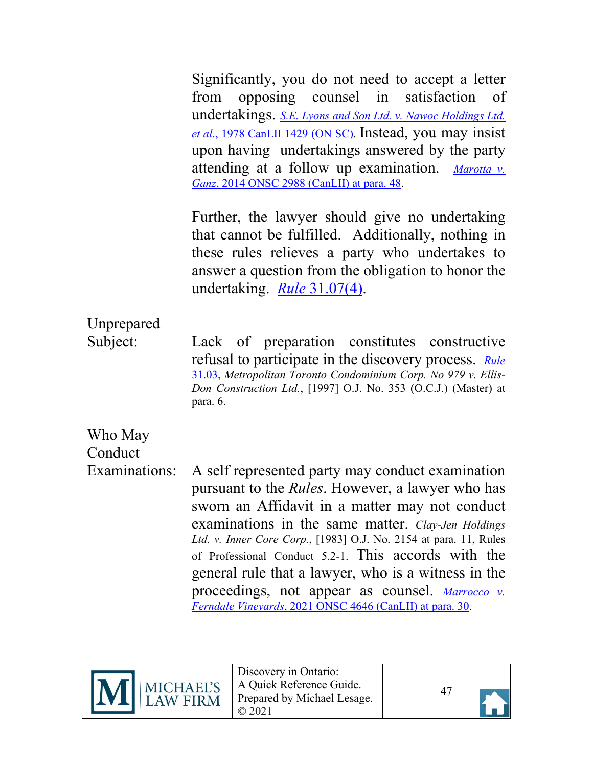Significantly, you do not need to accept a letter from opposing counsel in satisfaction of undertakings. *S.E. Lyons and [Son Ltd. v. Nawoc Holdings Ltd.](https://canlii.ca/t/g1ckh) et al*[., 1978 CanLII 1429 \(ON SC\).](https://canlii.ca/t/g1ckh) Instead, you may insist upon having undertakings answered by the party attending at a follow up examination. *[Marotta v.](https://canlii.ca/t/g6w4r#par47) Ganz*[, 2014 ONSC 2988 \(CanLII\) at para. 48.](https://canlii.ca/t/g6w4r#par47)

Further, the lawyer should give no undertaking that cannot be fulfilled. Additionally, nothing in these rules relieves a party who undertakes to answer a question from the obligation to honor the undertaking. *Rule* [31.07\(4\).](https://canlii.ca/t/t8m#sec31.08)

# <span id="page-46-0"></span>Unprepared

Subject: Lack of preparation constitutes constructive refusal to participate in the discovery process. *[Rule](https://canlii.ca/t/t8m#sec31.02)* [31.03,](https://canlii.ca/t/t8m#sec31.02) *Metropolitan Toronto Condominium Corp. No 979 v. Ellis-Don Construction Ltd.*, [1997] O.J. No. 353 (O.C.J.) (Master) at para. 6.

## <span id="page-46-1"></span>Who May **Conduct**

Examinations: A self represented party may conduct examination pursuant to the *Rules*. However, a lawyer who has sworn an Affidavit in a matter may not conduct examinations in the same matter. *Clay-Jen Holdings Ltd. v. Inner Core Corp.*, [1983] O.J. No. 2154 at para. 11, Rules of Professional Conduct 5.2-1. This accords with the general rule that a lawyer, who is a witness in the proceedings, not appear as counsel. *[Marrocco v.](https://canlii.ca/t/jgn4c#par30) Ferndale Vineyards*[, 2021 ONSC 4646 \(CanLII\) at para. 30.](https://canlii.ca/t/jgn4c#par30)



Discovery in Ontario: A Quick Reference Guide. Prepared by Michael Lesage. © 2021

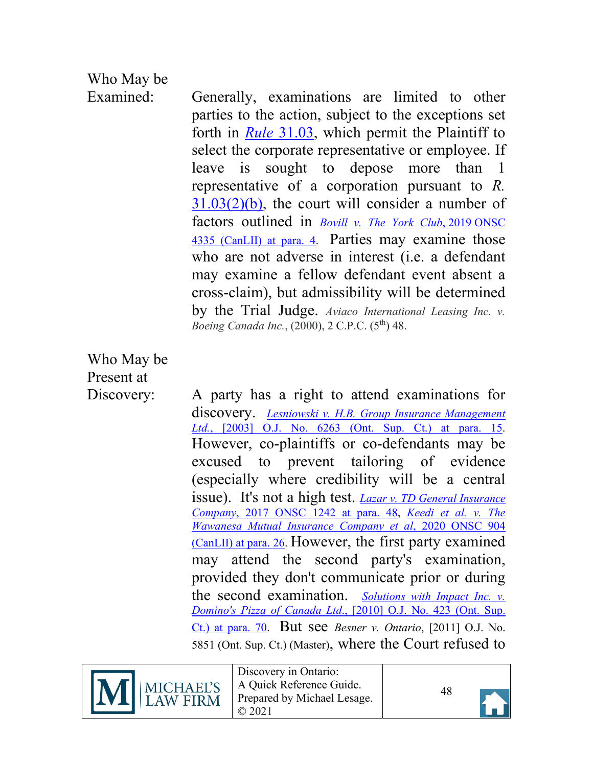# <span id="page-47-1"></span>Who May be

Examined: Generally, examinations are limited to other parties to the action, subject to the exceptions set forth in *Rule* [31.03,](https://canlii.ca/t/t8m#sec31.02) which permit the Plaintiff to select the corporate representative or employee. If leave is sought to depose more than 1 representative of a corporation pursuant to *R.*   $31.03(2)(b)$ , the court will consider a number of factors outlined in *[Bovill v. The York Club](https://canlii.ca/t/j1hqw#par4)*, 2019 ONSC [4335 \(CanLII\)](https://canlii.ca/t/j1hqw#par4) at para. 4. Parties may examine those who are not adverse in interest (i.e. a defendant may examine a fellow defendant event absent a cross-claim), but admissibility will be determined by the Trial Judge. *Aviaco International Leasing Inc. v. Boeing Canada Inc.*, (2000), 2 C.P.C. (5th) 48.

<span id="page-47-0"></span>Who May be Present at

Discovery: A party has a right to attend examinations for discovery. *Lesniowski v. H.B. [Group Insurance Management](https://canlii.ca/t/1g40g#par15) Ltd.*[, \[2003\] O.J. No. 6263 \(Ont. Sup. Ct.\) at para. 15.](https://canlii.ca/t/1g40g#par15) However, co-plaintiffs or co-defendants may be excused to prevent tailoring of evidence (especially where credibility will be a central issue). It's not a high test. *[Lazar v. TD General Insurance](https://canlii.ca/t/h2szx#par48) Company*[, 2017 ONSC 1242](https://canlii.ca/t/h2szx#par48) at para. 48, *[Keedi et al. v. The](https://canlii.ca/t/j5czw)  [Wawanesa Mutual Insurance Company et al](https://canlii.ca/t/j5czw)*, 2020 ONSC 904 [\(CanLII\) at para. 26.](https://canlii.ca/t/j5czw) However, the first party examined may attend the second party's examination, provided they don't communicate prior or during the second examination. *[Solutions with Impact Inc. v.](https://canlii.ca/t/27sxp#par70) Domino's Pizza of Canada Ltd*[., \[2010\] O.J. No. 423 \(Ont. Sup.](https://canlii.ca/t/27sxp#par70)  [Ct.\) at para. 70.](https://canlii.ca/t/27sxp#par70) But see *Besner v. Ontario*, [2011] O.J. No. 5851 (Ont. Sup. Ct.) (Master), where the Court refused to



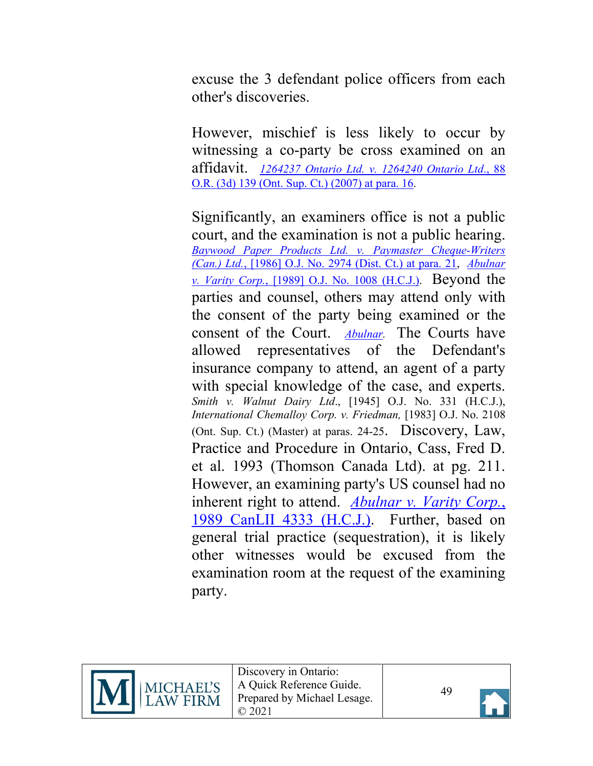excuse the 3 defendant police officers from each other's discoveries.

However, mischief is less likely to occur by witnessing a co-party be cross examined on an affidavit. *[1264237 Ontario Ltd. v. 1264240 Ontario Ltd](https://canlii.ca/t/1t39t#par16)*., 88 [O.R. \(3d\) 139 \(Ont. Sup. Ct.\) \(2007\) at para. 16.](https://canlii.ca/t/1t39t#par16)

Significantly, an examiners office is not a public court, and the examination is not a public hearing. *[Baywood Paper Products Ltd. v. Paymaster Cheque-Writers](https://canlii.ca/t/g192c)  (Can.) Ltd.*[, \[1986\] O.J. No. 2974 \(Dist. Ct.\) at para. 21,](https://canlii.ca/t/g192c) *[Abulnar](https://canlii.ca/t/g15cd#par1)  v. Varity Corp.*[, \[1989\] O.J. No. 1008 \(H.C.J.\).](https://canlii.ca/t/g15cd#par1) Beyond the parties and counsel, others may attend only with the consent of the party being examined or the consent of the Court. *[Abulnar.](https://canlii.ca/t/g15cd#par1)* The Courts have allowed representatives of the Defendant's insurance company to attend, an agent of a party with special knowledge of the case, and experts. *Smith v. Walnut Dairy Ltd*., [1945] O.J. No. 331 (H.C.J.), *International Chemalloy Corp. v. Friedman,* [1983] O.J. No. 2108 (Ont. Sup. Ct.) (Master) at paras. 24-25. Discovery, Law, Practice and Procedure in Ontario, Cass, Fred D. et al. 1993 (Thomson Canada Ltd). at pg. 211. However, an examining party's US counsel had no inherent right to attend. *[Abulnar v. Varity Corp.](https://canlii.ca/t/g15cd)*, [1989 CanLII 4333 \(H.C.J.\).](https://canlii.ca/t/g15cd) Further, based on general trial practice (sequestration), it is likely other witnesses would be excused from the examination room at the request of the examining party.



Discovery in Ontario: A Quick Reference Guide. Prepared by Michael Lesage. © 2021

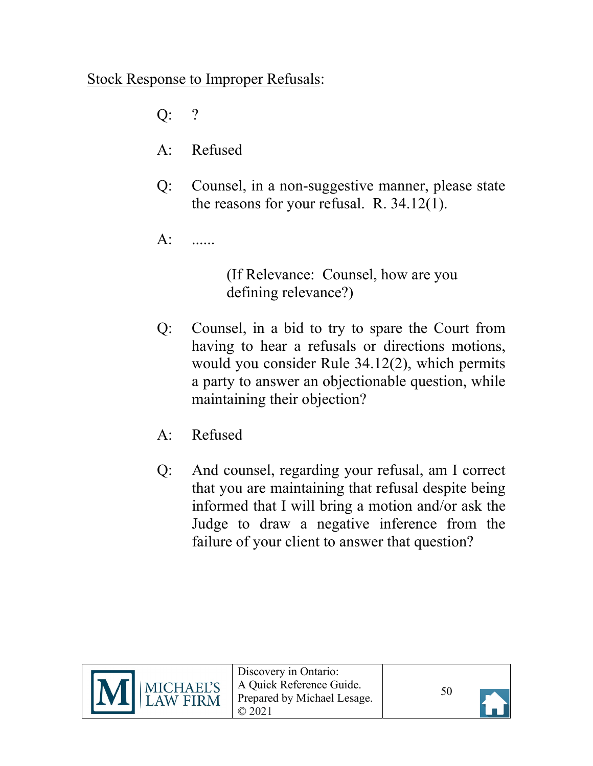### <span id="page-49-0"></span>Stock Response to Improper Refusals:

- Q: ?
- A: Refused
- Q: Counsel, in a non-suggestive manner, please state the reasons for your refusal. R. 34.12(1).
- A: ......

(If Relevance: Counsel, how are you defining relevance?)

- Q: Counsel, in a bid to try to spare the Court from having to hear a refusals or directions motions, would you consider Rule 34.12(2), which permits a party to answer an objectionable question, while maintaining their objection?
- A: Refused
- Q: And counsel, regarding your refusal, am I correct that you are maintaining that refusal despite being informed that I will bring a motion and/or ask the Judge to draw a negative inference from the failure of your client to answer that question?

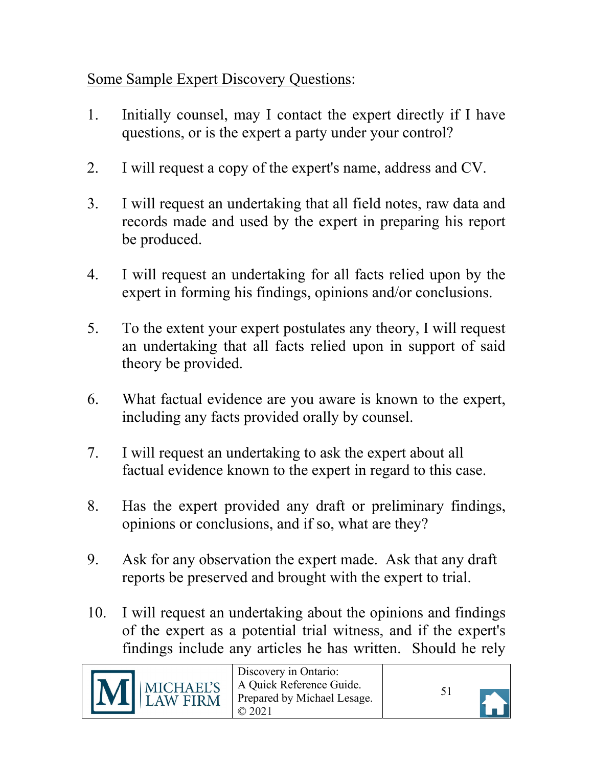<span id="page-50-0"></span>Some Sample Expert Discovery Questions:

- 1. Initially counsel, may I contact the expert directly if I have questions, or is the expert a party under your control?
- 2. I will request a copy of the expert's name, address and CV.
- 3. I will request an undertaking that all field notes, raw data and records made and used by the expert in preparing his report be produced.
- 4. I will request an undertaking for all facts relied upon by the expert in forming his findings, opinions and/or conclusions.
- 5. To the extent your expert postulates any theory, I will request an undertaking that all facts relied upon in support of said theory be provided.
- 6. What factual evidence are you aware is known to the expert, including any facts provided orally by counsel.
- 7. I will request an undertaking to ask the expert about all factual evidence known to the expert in regard to this case.
- 8. Has the expert provided any draft or preliminary findings, opinions or conclusions, and if so, what are they?
- 9. Ask for any observation the expert made. Ask that any draft reports be preserved and brought with the expert to trial.
- 10. I will request an undertaking about the opinions and findings of the expert as a potential trial witness, and if the expert's findings include any articles he has written. Should he rely



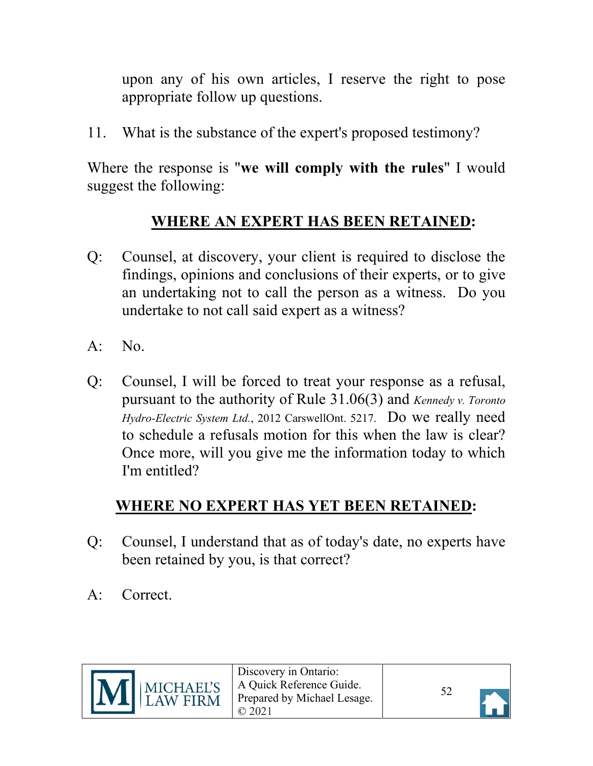upon any of his own articles, I reserve the right to pose appropriate follow up questions.

11. What is the substance of the expert's proposed testimony?

Where the response is "**we will comply with the rules**" I would suggest the following:

### **WHERE AN EXPERT HAS BEEN RETAINED:**

- Q: Counsel, at discovery, your client is required to disclose the findings, opinions and conclusions of their experts, or to give an undertaking not to call the person as a witness. Do you undertake to not call said expert as a witness?
- $A: No.$
- Q: Counsel, I will be forced to treat your response as a refusal, pursuant to the authority of Rule 31.06(3) and *Kennedy v. Toronto Hydro-Electric System Ltd.*, 2012 CarswellOnt. 5217. Do we really need to schedule a refusals motion for this when the law is clear? Once more, will you give me the information today to which I'm entitled?

## **WHERE NO EXPERT HAS YET BEEN RETAINED:**

- Q: Counsel, I understand that as of today's date, no experts have been retained by you, is that correct?
- A: Correct.

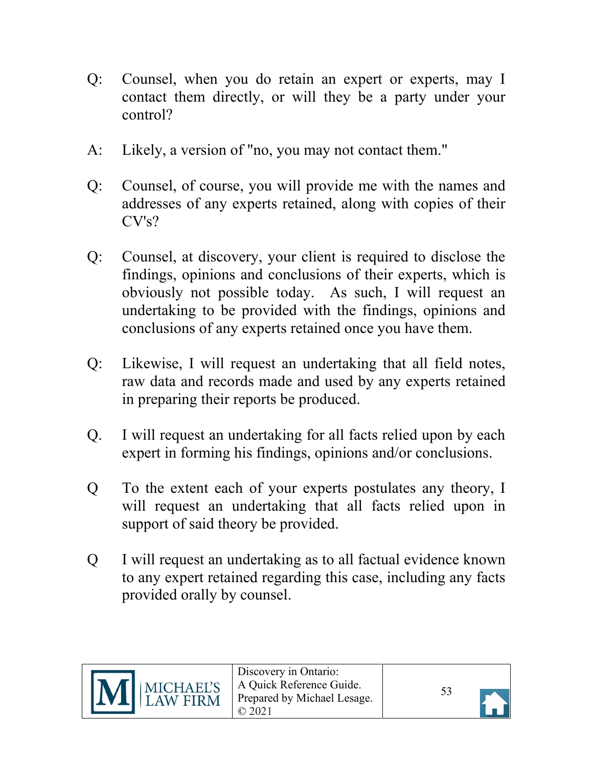- Q: Counsel, when you do retain an expert or experts, may I contact them directly, or will they be a party under your control?
- A: Likely, a version of "no, you may not contact them."
- Q: Counsel, of course, you will provide me with the names and addresses of any experts retained, along with copies of their  $CV's?$
- Q: Counsel, at discovery, your client is required to disclose the findings, opinions and conclusions of their experts, which is obviously not possible today. As such, I will request an undertaking to be provided with the findings, opinions and conclusions of any experts retained once you have them.
- Q: Likewise, I will request an undertaking that all field notes, raw data and records made and used by any experts retained in preparing their reports be produced.
- Q. I will request an undertaking for all facts relied upon by each expert in forming his findings, opinions and/or conclusions.
- Q To the extent each of your experts postulates any theory, I will request an undertaking that all facts relied upon in support of said theory be provided.
- Q I will request an undertaking as to all factual evidence known to any expert retained regarding this case, including any facts provided orally by counsel.